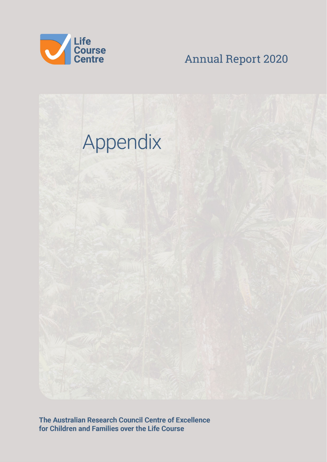

**Annual Report 2020** 



The Australian Research Council Centre of Excellence for Children and Families over the Life Course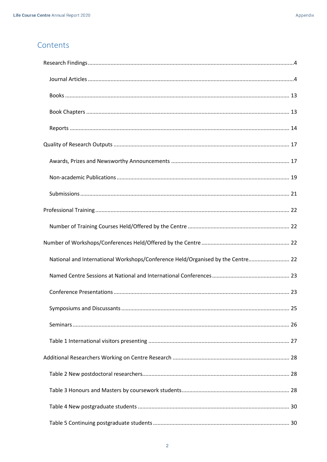# Contents

| National and International Workshops/Conference Held/Organised by the Centre 22 |
|---------------------------------------------------------------------------------|
|                                                                                 |
|                                                                                 |
|                                                                                 |
|                                                                                 |
|                                                                                 |
|                                                                                 |
|                                                                                 |
|                                                                                 |
|                                                                                 |
|                                                                                 |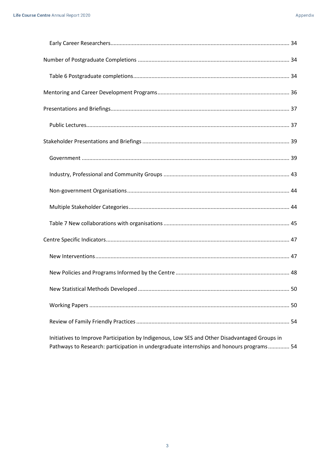| Initiatives to Improve Participation by Indigenous, Low SES and Other Disadvantaged Groups in |
|-----------------------------------------------------------------------------------------------|

Pathways to Research: participation in undergraduate internships and honours programs.............. 54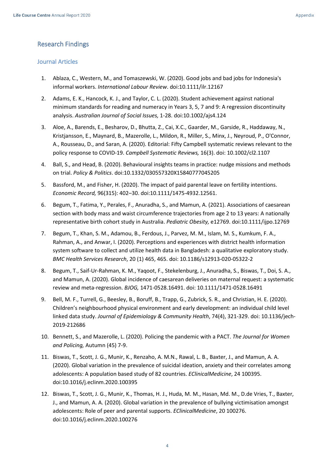## <span id="page-3-0"></span>Research Findings

#### <span id="page-3-1"></span>Journal Articles

- 1. Ablaza, C., Western, M., and Tomaszewski, W. (2020). Good jobs and bad jobs for Indonesia's informal workers. *International Labour Review*. doi:10.1111/ilr.12167
- 2. Adams, E. K., Hancock, K. J., and Taylor, C. L. (2020). Student achievement against national minimum standards for reading and numeracy in Years 3, 5, 7 and 9: A regression discontinuity analysis. *Australian Journal of Social Issues,* 1-28. doi:10.1002/ajs4.124
- 3. Aloe, A., Barends, E., Besharov, D., Bhutta, Z., Cai, X.C., Gaarder, M., Garside, R., Haddaway, N., Kristjansson, E., Maynard, B., Mazerolle, L., Mildon, R., Miller, S., Minx, J., Neyroud, P., O'Connor, A., Rousseau, D., and Saran, A. (2020). Editorial: Fifty Campbell systematic reviews relevant to the policy response to COVID-19. *Campbell Systematic Reviews,* 16(3). doi: 10.1002/cl2.1107
- 4. Ball, S., and Head, B. (2020). Behavioural insights teams in practice: nudge missions and methods on trial. *Policy & Politics*. doi:10.1332/030557320X15840777045205
- 5. Bassford, M., and Fisher, H. (2020). The impact of paid parental leave on fertility intentions. *Economic Record,* 96(315): 402–30. doi:10.1111/1475-4932.12561.
- 6. Begum, T., Fatima, Y., Perales, F., Anuradha, S., and Mamun, A. (2021). Associations of caesarean section with body mass and waist circumference trajectories from age 2 to 13 years: A nationally representative birth cohort study in Australia. *Pediatric Obesity,* e12769. doi:10.1111/ijpo.12769
- 7. Begum, T., Khan, S. M., Adamou, B., Ferdous, J., Parvez, M. M., Islam, M. S., Kumkum, F. A., Rahman, A., and Anwar, I. (2020). Perceptions and experiences with district health information system software to collect and utilize health data in Bangladesh: a qualitative exploratory study. *BMC Health Services Research*, 20 (1) 465, 465. doi: 10.1186/s12913-020-05322-2
- 8. Begum, T., Saif-Ur-Rahman, K. M., Yaqoot, F., Stekelenburg, J., Anuradha, S., Biswas, T., Doi, S. A., and Mamun, A. (2020). Global incidence of caesarean deliveries on maternal request: a systematic review and meta-regression. *BJOG,* 1471-0528.16491. doi: 10.1111/1471-0528.16491
- 9. Bell, M. F., Turrell, G., Beesley, B., Boruff, B., Trapp, G., Zubrick, S. R., and Christian, H. E. (2020). Children's neighbourhood physical environment and early development: an individual child level linked data study. *Journal of Epidemiology & Community Health*, 74(4), 321-329. doi: 10.1136/jech-2019-212686
- 10. Bennett, S., and Mazerolle, L. (2020). Policing the pandemic with a PACT. *The Journal for Women and Policing,* Autumn (45) 7-9.
- 11. Biswas, T., Scott, J. G., Munir, K., Renzaho, A. M.N., Rawal, L. B., Baxter, J., and Mamun, A. A. (2020). Global variation in the prevalence of suicidal ideation, anxiety and their correlates among adolescents: A population based study of 82 countries. *EClinicalMedicine*, 24 100395. doi:10.1016/j.eclinm.2020.100395
- 12. Biswas, T., Scott, J. G., Munir, K., Thomas, H. J., Huda, M. M., Hasan, Md. M., D.de Vries, T., Baxter, J., and Mamun, A. A. (2020). Global variation in the prevalence of bullying victimisation amongst adolescents: Role of peer and parental supports. *EClinicalMedicine*, 20 100276. doi:10.1016/j.eclinm.2020.100276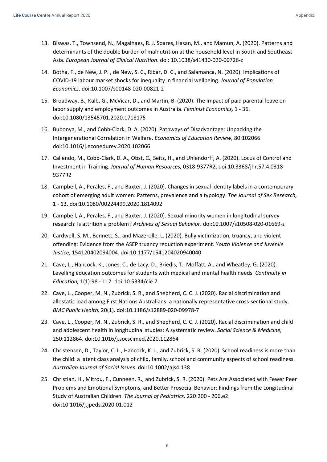- 13. Biswas, T., Townsend, N., Magalhaes, R. J. Soares, Hasan, M., and Mamun, A. (2020). Patterns and determinants of the double burden of malnutrition at the household level in South and Southeast Asia. *European Journal of Clinical Nutrition*. doi: 10.1038/s41430-020-00726-z
- 14. Botha, F., de New, J. P. , de New, S. C., Ribar, D. C., and Salamanca, N. (2020). Implications of COVID-19 labour market shocks for inequality in financial wellbeing. *Journal of Population Economics*. doi:10.1007/s00148-020-00821-2
- 15. Broadway, B., Kalb, G., McVicar, D., and Martin, B. (2020). The impact of paid parental leave on labor supply and employment outcomes in Australia. *Feminist Economics,* 1 - 36. doi:10.1080/13545701.2020.1718175
- 16. Bubonya, M., and Cobb-Clark, D. A. (2020). Pathways of Disadvantage: Unpacking the Intergenerational Correlation in Welfare. *Economics of Education Review,* 80:102066. doi:10.1016/j.econedurev.2020.102066
- 17. Caliendo, M., Cobb-Clark, D. A., Obst, C., Seitz, H., and Uhlendorff, A. (2020). Locus of Control and Investment in Training. *Journal of Human Resources,* 0318-9377R2. doi:10.3368/jhr.57.4.0318- 9377R2
- 18. Campbell, A., Perales, F., and Baxter, J. (2020). Changes in sexual identity labels in a contemporary cohort of emerging adult women: Patterns, prevalence and a typology. *The Journal of Sex Research,* 1 - 13. doi:10.1080/00224499.2020.1814092
- 19. Campbell, A., Perales, F., and Baxter, J. (2020). Sexual minority women in longitudinal survey research: Is attrition a problem? *Archives of Sexual Behavior*. doi:10.1007/s10508-020-01669-z
- 20. Cardwell, S. M., Bennett, S., and Mazerolle, L. (2020). Bully victimization, truancy, and violent offending: Evidence from the ASEP truancy reduction experiment. *Youth Violence and Juvenile Justice,* 154120402094004. doi:10.1177/1541204020940040
- 21. Cave, L., Hancock, K., Jones, C., de Lacy, D., Briedis, T., Moffatt, A., and Wheatley, G. (2020). Levelling education outcomes for students with medical and mental health needs. *Continuity in Education,* 1(1):98 - 117. doi:10.5334/cie.7
- 22. Cave, L., Cooper, M. N., Zubrick, S. R., and Shepherd, C. C. J. (2020). Racial discrimination and allostatic load among First Nations Australians: a nationally representative cross-sectional study. *BMC Public Health,* 20(1). doi:10.1186/s12889-020-09978-7
- 23. Cave, L., Cooper, M. N., Zubrick, S. R., and Shepherd, C. C. J. (2020). Racial discrimination and child and adolescent health in longitudinal studies: A systematic review. *Social Science & Medicine,* 250:112864. doi:10.1016/j.socscimed.2020.112864
- 24. Christensen, D., Taylor, C. L., Hancock, K. J., and Zubrick, S. R. (2020). School readiness is more than the child: a latent class analysis of child, family, school and community aspects of school readiness. *Australian Journal of Social Issues*. doi:10.1002/ajs4.138
- 25. Christian, H., Mitrou, F., Cunneen, R., and Zubrick, S. R. (2020). Pets Are Associated with Fewer Peer Problems and Emotional Symptoms, and Better Prosocial Behavior: Findings from the Longitudinal Study of Australian Children. *The Journal of Pediatrics,* 220:200 - 206.e2. doi:10.1016/j.jpeds.2020.01.012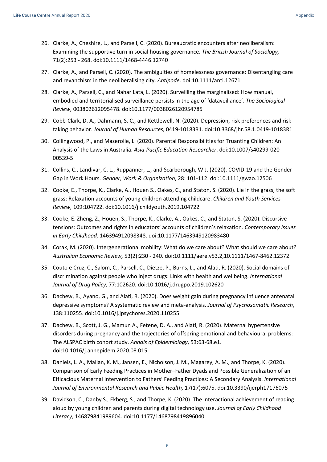- 26. Clarke, A., Cheshire, L., and Parsell, C. (2020). Bureaucratic encounters after neoliberalism: Examining the supportive turn in social housing governance. *The British Journal of Sociology,* 71(2):253 - 268. doi:10.1111/1468-4446.12740
- 27. Clarke, A., and Parsell, C. (2020). The ambiguities of homelessness governance: Disentangling care and revanchism in the neoliberalising city. *Antipode*. doi:10.1111/anti.12671
- 28. Clarke, A., Parsell, C., and Nahar Lata, L. (2020). Surveilling the marginalised: How manual, embodied and territorialised surveillance persists in the age of 'dataveillance'. *The Sociological Review,* 003802612095478. doi:10.1177/0038026120954785
- 29. Cobb-Clark, D. A., Dahmann, S. C., and Kettlewell, N. (2020). Depression, risk preferences and risktaking behavior. *Journal of Human Resources,* 0419-10183R1. doi:10.3368/jhr.58.1.0419-10183R1
- 30. Collingwood, P., and Mazerolle, L. (2020). Parental Responsibilities for Truanting Children: An Analysis of the Laws in Australia. *Asia-Pacific Education Researcher*. doi:10.1007/s40299-020- 00539-5
- 31. Collins, C., Landivar, C. L., Ruppanner, L., and Scarborough, W.J. (2020). COVID-19 and the Gender Gap in Work Hours. *Gender, Work & Organization*, 28: 101-112. doi:10.1111/gwao.12506
- 32. Cooke, E., Thorpe, K., Clarke, A., Houen S., Oakes, C., and Staton, S. (2020). Lie in the grass, the soft grass: Relaxation accounts of young children attending childcare. *Children and Youth Services Review,* 109:104722. doi:10.1016/j.childyouth.2019.104722
- 33. Cooke, E. Zheng, Z., Houen, S., Thorpe, K., Clarke, A., Oakes, C., and Staton, S. (2020). Discursive tensions: Outcomes and rights in educators' accounts of children's relaxation. *Contemporary Issues in Early Childhood,* 146394912098348. doi:10.1177/1463949120983480
- 34. Corak, M. (2020). Intergenerational mobility: What do we care about? What should we care about? *Australian Economic Review,* 53(2):230 - 240. doi:10.1111/aere.v53.2,10.1111/1467-8462.12372
- 35. Couto e Cruz, C., Salom, C., Parsell, C., Dietze, P., Burns, L., and Alati, R. (2020). Social domains of discrimination against people who inject drugs: Links with health and wellbeing. *International Journal of Drug Policy,* 77:102620. doi:10.1016/j.drugpo.2019.102620
- 36. Dachew, B., Ayano, G., and Alati, R. (2020). Does weight gain during pregnancy influence antenatal depressive symptoms? A systematic review and meta-analysis. *Journal of Psychosomatic Research*, 138:110255. doi:10.1016/j.jpsychores.2020.110255
- 37. Dachew, B., Scott, J. G., Mamun A., Fetene, D. A., and Alati, R. (2020). Maternal hypertensive disorders during pregnancy and the trajectories of offspring emotional and behavioural problems: The ALSPAC birth cohort study. *Annals of Epidemiology*, 53:63-68.e1. doi:10.1016/j.annepidem.2020.08.015
- 38. Daniels, L. A., Mallan, K. M., Jansen, E., Nicholson, J. M., Magarey, A. M., and Thorpe, K. (2020). Comparison of Early Feeding Practices in Mother–Father Dyads and Possible Generalization of an Efficacious Maternal Intervention to Fathers' Feeding Practices: A Secondary Analysis. *International Journal of Environmental Research and Public Health,* 17(17):6075. doi:10.3390/ijerph17176075
- 39. Davidson, C., Danby S., Ekberg, S., and Thorpe, K. (2020). The interactional achievement of reading aloud by young children and parents during digital technology use. *Journal of Early Childhood Literacy,* 146879841989604. doi:10.1177/1468798419896040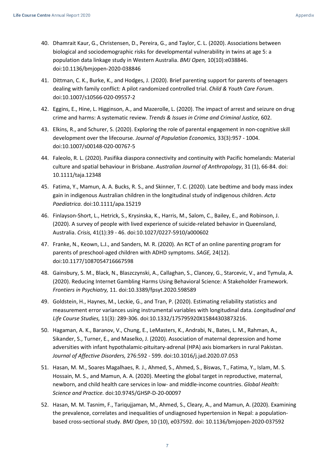- 40. Dhamrait Kaur, G., Christensen, D., Pereira, G., and Taylor, C. L. (2020). Associations between biological and sociodemographic risks for developmental vulnerability in twins at age 5: a population data linkage study in Western Australia. *BMJ Open,* 10(10):e038846. doi:10.1136/bmjopen-2020-038846
- 41. Dittman, C. K., Burke, K., and Hodges, J. (2020). Brief parenting support for parents of teenagers dealing with family conflict: A pilot randomized controlled trial. *Child & Youth Care Forum*. doi:10.1007/s10566-020-09557-2
- 42. Eggins, E., Hine, L. Higginson, A., and Mazerolle, L. (2020). The impact of arrest and seizure on drug crime and harms: A systematic review. *Trends & Issues in Crime and Criminal Justice,* 602.
- 43. Elkins, R., and Schurer, S. (2020). Exploring the role of parental engagement in non-cognitive skill development over the lifecourse. *Journal of Population Economics,* 33(3):957 - 1004. doi:10.1007/s00148-020-00767-5
- 44. Faleolo, R. L. (2020). Pasifika diaspora connectivity and continuity with Pacific homelands: Material culture and spatial behaviour in Brisbane. *Australian Journal of Anthropology*, 31 (1), 66-84. doi: 10.1111/taja.12348
- 45. Fatima, Y., Mamun, A. A. Bucks, R. S., and Skinner, T. C. (2020). Late bedtime and body mass index gain in indigenous Australian children in the longitudinal study of indigenous children. *Acta Paediatrica.* doi:10.1111/apa.15219
- 46. Finlayson-Short, L., Hetrick, S., Krysinska, K., Harris, M., Salom, C., Bailey, E., and Robinson, J. (2020). A survey of people with lived experience of suicide-related behavior in Queensland, Australia. *Crisis,* 41(1):39 - 46. doi:10.1027/0227-5910/a000602
- 47. Franke, N., Keown, L.J., and Sanders, M. R. (2020). An RCT of an online parenting program for parents of preschool-aged children with ADHD symptoms. *SAGE,* 24(12). doi:10.1177/1087054716667598
- 48. Gainsbury, S. M., Black, N., Blaszczynski, A., Callaghan, S., Clancey, G., Starcevic, V., and Tymula, A. (2020). Reducing Internet Gambling Harms Using Behavioral Science: A Stakeholder Framework. *Frontiers in Psychiatry,* 11. doi:10.3389/fpsyt.2020.598589
- 49. Goldstein, H., Haynes, M., Leckie, G., and Tran, P. (2020). Estimating reliability statistics and measurement error variances using instrumental variables with longitudinal data. *Longitudinal and Life Course Studies,* 11(3): 289-306. doi:10.1332/175795920X15844303873216.
- 50. Hagaman, A. K., Baranov, V., Chung, E., LeMasters, K., Andrabi, N., Bates, L. M., Rahman, A., Sikander, S., Turner, E., and Maselko, J. (2020). Association of maternal depression and home adversities with infant hypothalamic-pituitary-adrenal (HPA) axis biomarkers in rural Pakistan. *Journal of Affective Disorders,* 276:592 - 599. doi:10.1016/j.jad.2020.07.053
- 51. Hasan, M. M., Soares Magalhaes, R. J., Ahmed, S., Ahmed, S., Biswas, T., Fatima, Y., Islam, M. S. Hossain, M. S., and Mamun, A. A. (2020). Meeting the global target in reproductive, maternal, newborn, and child health care services in low- and middle-income countries. *Global Health: Science and Practice.* doi:10.9745/GHSP-D-20-00097
- 52. Hasan, M. M. Tasnim, F., Tariqujjaman, M., Ahmed, S., Cleary, A., and Mamun, A. (2020). Examining the prevalence, correlates and inequalities of undiagnosed hypertension in Nepal: a populationbased cross-sectional study. *BMJ Open*, 10 (10), e037592. doi: 10.1136/bmjopen-2020-037592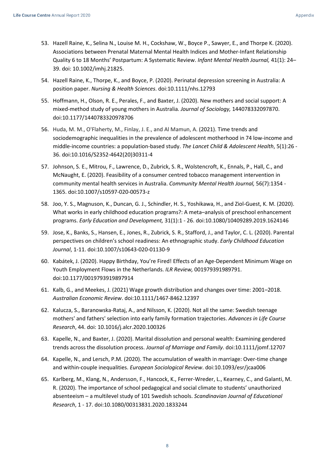- 53. Hazell Raine, K., Selina N., Louise M. H., Cockshaw, W., Boyce P., Sawyer, E., and Thorpe K. (2020). Associations between Prenatal Maternal Mental Health Indices and Mother-Infant Relationship Quality 6 to 18 Months' Postpartum: A Systematic Review. *Infant Mental Health Journal,* 41(1): 24– 39. doi: 10.1002/imhj.21825.
- 54. Hazell Raine, K., Thorpe, K., and Boyce, P. (2020). Perinatal depression screening in Australia: A position paper. *Nursing & Health Sciences*. doi:10.1111/nhs.12793
- 55. Hoffmann, H., Olson, R. E., Perales, F., and Baxter, J. (2020). New mothers and social support: A mixed-method study of young mothers in Australia*. Journal of Sociology,* 144078332097870. doi:10.1177/1440783320978706
- 56. Huda, M. M., O'Flaherty, M., Finlay, J. E., and Al Mamun, A. (2021). Time trends and sociodemographic inequalities in the prevalence of adolescent motherhood in 74 low-income and middle-income countries: a population-based study. *The Lancet Child & Adolescent Health*, 5(1):26 - 36. doi:10.1016/S2352-4642(20)30311-4
- 57. Johnson, S. E., Mitrou, F., Lawrence, D., Zubrick, S. R., Wolstencroft, K., Ennals, P., Hall, C., and McNaught, E. (2020). Feasibility of a consumer centred tobacco management intervention in community mental health services in Australia. *Community Mental Health Journal,* 56(7):1354 - 1365. doi:10.1007/s10597-020-00573-z
- 58. Joo, Y. S., Magnuson, K., Duncan, G. J., Schindler, H. S., Yoshikawa, H., and Ziol-Guest, K. M. (2020). What works in early childhood education programs?: A meta–analysis of preschool enhancement programs. *Early Education and Development,* 31(1):1 - 26. doi:10.1080/10409289.2019.1624146
- 59. Jose, K., Banks, S., Hansen, E., Jones, R., Zubrick, S. R., Stafford, J., and Taylor, C. L. (2020). Parental perspectives on children's school readiness: An ethnographic study. *Early Childhood Education Journal*, 1-11. doi:10.1007/s10643-020-01130-9
- 60. Kabátek, J. (2020). Happy Birthday, You're Fired! Effects of an Age-Dependent Minimum Wage on Youth Employment Flows in the Netherlands. *ILR Review,* 001979391989791. doi:10.1177/0019793919897914
- 61. Kalb, G., and Meekes, J. (2021) Wage growth distribution and changes over time: 2001–2018. *Australian Economic Review*. doi:10.1111/1467-8462.12397
- 62. Kalucza, S., Baranowska-Rataj, A., and Nilsson, K. (2020). Not all the same: Swedish teenage mothers' and fathers' selection into early family formation trajectories. *Advances in Life Course Research*, 44. doi: 10.1016/j.alcr.2020.100326
- 63. Kapelle, N., and Baxter, J. (2020). Marital dissolution and personal wealth: Examining gendered trends across the dissolution process. *Journal of Marriage and Family*. doi:10.1111/jomf.12707
- 64. Kapelle, N., and Lersch, P.M. (2020). The accumulation of wealth in marriage: Over-time change and within-couple inequalities. *European Sociological Review*. doi:10.1093/esr/jcaa006
- 65. Karlberg, M., Klang, N., Andersson, F., Hancock, K., Ferrer-Wreder, L., Kearney, C., and Galanti, M. R. (2020). The importance of school pedagogical and social climate to students' unauthorized absenteeism – a multilevel study of 101 Swedish schools. *Scandinavian Journal of Educational Research*, 1 - 17. doi:10.1080/00313831.2020.1833244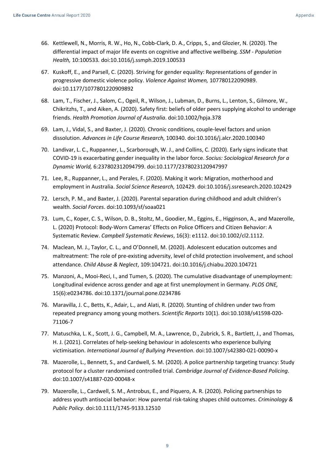- 66. Kettlewell, N., Morris, R. W., Ho, N., Cobb-Clark, D. A., Cripps, S., and Glozier, N. (2020). The differential impact of major life events on cognitive and affective wellbeing. *SSM - Population Health,* 10:100533*.* doi:10.1016/j.ssmph.2019.100533
- 67. Kuskoff, E., and Parsell, C. (2020). Striving for gender equality: Representations of gender in progressive domestic violence policy. *Violence Against Women,* 107780122090989. doi:10.1177/1077801220909892
- 68. Lam, T., Fischer, J., Salom, C., Ogeil, R., Wilson, J., Lubman, D., Burns, L., Lenton, S., Gilmore, W., Chikritzhs, T., and Aiken, A. (2020). Safety first: beliefs of older peers supplying alcohol to underage friends. *Health Promotion Journal of Australia*. doi:10.1002/hpja.378
- 69. Lam, J., Vidal, S., and Baxter, J. (2020). Chronic conditions, couple-level factors and union dissolution. *Advances in Life Course Research,* 100340. doi:10.1016/j.alcr.2020.100340
- 70. Landivar, L. C., Ruppanner, L., Scarborough, W. J., and Collins, C. (2020). Early signs indicate that COVID-19 is exacerbating gender inequality in the labor force. *Socius: Sociological Research for a Dynamic World,* 6:237802312094799. doi:10.1177/2378023120947997
- 71. Lee, R., Ruppanner, L., and Perales, F. (2020). Making it work: Migration, motherhood and employment in Australia. *Social Science Research,* 102429. doi:10.1016/j.ssresearch.2020.102429
- 72. Lersch, P. M., and Baxter, J. (2020). Parental separation during childhood and adult children's wealth. *Social Forces*. doi:10.1093/sf/soaa021
- 73. Lum, C., Koper, C. S., Wilson, D. B., Stoltz, M., Goodier, M., Eggins, E., Higginson, A., and Mazerolle, L. (2020) Protocol: Body-Worn Cameras' Effects on Police Officers and Citizen Behavior: A Systematic Review. *Campbell Systematic Reviews*, 16(3): e1112. doi:10.1002/cl2.1112.
- 74. Maclean, M. J., Taylor, C. L., and O'Donnell, M. (2020). Adolescent education outcomes and maltreatment: The role of pre-existing adversity, level of child protection involvement, and school attendance. *Child Abuse & Neglect*, 109:104721. doi:10.1016/j.chiabu.2020.104721
- 75. Manzoni, A., Mooi-Reci, I., and Tumen, S. (2020). The cumulative disadvantage of unemployment: Longitudinal evidence across gender and age at first unemployment in Germany. *PLOS ONE,* 15(6):e0234786. doi:10.1371/journal.pone.0234786
- 76. Maravilla, J. C., Betts, K., Adair, L., and Alati, R. (2020). Stunting of children under two from repeated pregnancy among young mothers. *Scientific Reports* 10(1). doi:10.1038/s41598-020- 71106-7
- 77. Matuschka, L. K., Scott, J. G., Campbell, M. A., Lawrence, D., Zubrick, S. R., Bartlett, J., and Thomas, H. J. (2021). Correlates of help-seeking behaviour in adolescents who experience bullying victimisation. *International Journal of Bullying Prevention*. doi:10.1007/s42380-021-00090-x
- 78. Mazerolle, L., Bennett, S., and Cardwell, S. M. (2020). A police partnership targeting truancy: Study protocol for a cluster randomised controlled trial. *Cambridge Journal of Evidence-Based Policing*. doi:10.1007/s41887-020-00048-x
- 79. Mazerolle, L., Cardwell, S. M., Antrobus, E., and Piquero, A. R. (2020). Policing partnerships to address youth antisocial behavior: How parental risk-taking shapes child outcomes. *Criminology & Public Policy*. doi:10.1111/1745-9133.12510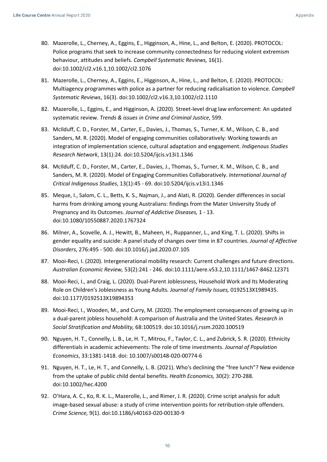- 80. Mazerolle, L., Cherney, A., Eggins, E., Higginson, A., Hine, L., and Belton, E. (2020). PROTOCOL: Police programs that seek to increase community connectedness for reducing violent extremism behaviour, attitudes and beliefs. *Campbell Systematic Reviews,* 16(1). doi:10.1002/cl2.v16.1,10.1002/cl2.1076
- 81. Mazerolle, L., Cherney, A., Eggins, E., Higginson, A., Hine, L., and Belton, E. (2020). PROTOCOL: Multiagency programmes with police as a partner for reducing radicalisation to violence. *Campbell Systematic Reviews*, 16(3). doi:10.1002/cl2.v16.3,10.1002/cl2.1110
- 82. Mazerolle, L., Eggins, E., and Higginson, A. (2020). Street-level drug law enforcement: An updated systematic review. *Trends & issues in Crime and Criminal Justice*, 599.
- 83. McIlduff, C. D., Forster, M., Carter, E., Davies, J., Thomas, S., Turner, K. M., Wilson, C. B., and Sanders, M. R. (2020). Model of engaging communities collaboratively: Working towards an integration of implementation science, cultural adaptation and engagement. *Indigenous Studies Research Network*, 13(1):24. doi:10.5204/ijcis.v13i1.1346
- 84. McIlduff, C. D., Forster, M., Carter, E., Davies, J., Thomas, S., Turner, K. M., Wilson, C. B., and Sanders, M. R. (2020). Model of Engaging Communities Collaboratively. *International Journal of Critical Indigenous Studies*, 13(1):45 - 69. doi:10.5204/ijcis.v13i1.1346
- 85. Meque, I., Salom, C. L., Betts, K. S., Najman, J., and Alati, R. (2020). Gender differences in social harms from drinking among young Australians: findings from the Mater University Study of Pregnancy and its Outcomes. *Journal of Addictive Diseases,* 1 - 13. doi:10.1080/10550887.2020.1767324
- 86. Milner, A., Scovelle, A. J., Hewitt, B., Maheen, H., Ruppanner, L., and King, T. L. (2020). Shifts in gender equality and suicide: A panel study of changes over time in 87 countries. *Journal of Affective Disorders*, 276:495 - 500. doi:10.1016/j.jad.2020.07.105
- 87. Mooi-Reci, I. (2020). Intergenerational mobility research: Current challenges and future directions. *Australian Economic Review,* 53(2):241 - 246. doi:10.1111/aere.v53.2,10.1111/1467-8462.12371
- 88. Mooi-Reci, I., and Craig, L. (2020). Dual-Parent Joblessness, Household Work and Its Moderating Role on Children's Joblessness as Young Adults*. Journal of Family Issues,* 0192513X1989435. doi:10.1177/0192513X19894353
- 89. Mooi-Reci, I., Wooden, M., and Curry, M. (2020). The employment consequences of growing up in a dual-parent jobless household: A comparison of Australia and the United States. *Research in Social Stratification and Mobility,* 68:100519. doi:10.1016/j.rssm.2020.100519
- 90. Nguyen, H. T., Connelly, L. B., Le, H. T., Mitrou, F., Taylor, C. L., and Zubrick, S. R. (2020). Ethnicity differentials in academic achievements: The role of time investments. *Journal of Population Economics*, 33:1381-1418. doi: 10.1007/s00148-020-00774-6
- 91. Nguyen, H. T., Le, H. T., and Connelly, L. B. (2021). Who's declining the "free lunch"? New evidence from the uptake of public child dental benefits. *Health Economics,* 30(2): 270-288*.* doi:10.1002/hec.4200
- 92. O'Hara, A. C., Ko, R. K. L., Mazerolle, L., and Rimer, J. R. (2020). Crime script analysis for adult image-based sexual abuse: a study of crime intervention points for retribution-style offenders. *Crime Science,* 9(1). doi:10.1186/s40163-020-00130-9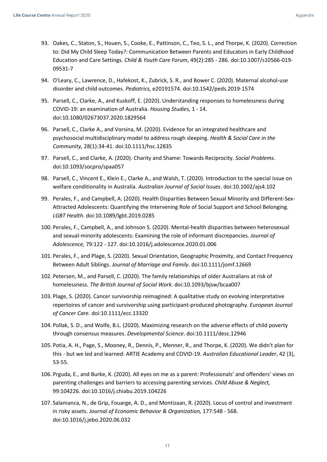- 93. Oakes, C., Staton, S., Houen, S., Cooke, E., Pattinson, C., Teo, S. L., and Thorpe, K. (2020). Correction to: Did My Child Sleep Today?: Communication Between Parents and Educators in Early Childhood Education and Care Settings. *Child & Youth Care Forum*, 49(2):285 - 286. doi:10.1007/s10566-019- 09531-7
- 94. O'Leary, C., Lawrence, D., Hafekost, K., Zubrick, S. R., and Bower C. (2020). Maternal alcohol-use disorder and child outcomes. *Pediatrics,* e20191574. doi:10.1542/peds.2019-1574
- 95. Parsell, C., Clarke, A., and Kuskoff, E. (2020). Understanding responses to homelessness during COVID-19: an examination of Australia. *Housing Studies,* 1 - 14. doi:10.1080/02673037.2020.1829564
- 96. Parsell, C., Clarke A., and Vorsina, M. (2020). Evidence for an integrated healthcare and psychosocial multidisciplinary model to address rough sleeping. *Health & Social Care in the Community,* 28(1):34-41. doi:10.1111/hsc.12835
- 97. Parsell, C., and Clarke, A. (2020). Charity and Shame: Towards Reciprocity. *Social Problems*. doi:10.1093/socpro/spaa057
- 98. Parsell, C., Vincent E., Klein E., Clarke A., and Walsh, T. (2020). Introduction to the special issue on welfare conditionality in Australia. *Australian Journal of Social Issues*. doi:10.1002/ajs4.102
- 99. Perales, F., and Campbell, A. (2020). Health Disparities Between Sexual Minority and Different-Sex-Attracted Adolescents: Quantifying the Intervening Role of Social Support and School Belonging. *LGBT Health*. doi:10.1089/lgbt.2019.0285
- 100. Perales, F., Campbell, A., and Johnson S. (2020). Mental-health disparities between heterosexual and sexual-minority adolescents: Examining the role of informant discrepancies. *Journal of Adolescence,* 79:122 - 127. doi:10.1016/j.adolescence.2020.01.006
- 101. Perales, F., and Plage, S. (2020). Sexual Orientation, Geographic Proximity, and Contact Frequency Between Adult Siblings. *Journal of Marriage and Family*. doi:10.1111/jomf.12669
- 102. Petersen, M., and Parsell, C. (2020). The family relationships of older Australians at risk of homelessness. *The British Journal of Social Work*. doi:10.1093/bjsw/bcaa007
- 103. Plage, S. (2020). Cancer survivorship reimagined: A qualitative study on evolving interpretative repertoires of cancer and survivorship using participant-produced photography. *European Journal of Cancer Care.* doi:10.1111/ecc.13320
- 104. Pollak, S. D., and Wolfe, B.L. (2020). Maximizing research on the adverse effects of child poverty through consensus measures. *Developmental Science*. doi:10.1111/desc.12946
- 105. Potia, A. H., Page, S., Mooney, R., Dennis, P., Menner, R., and Thorpe, K. (2020). We didn't plan for this - but we led and learned: ARTIE Academy and COVID-19. *Australian Educational Leader*, 42 (3), 53-55.
- 106. Prguda, E., and Burke, K. (2020). All eyes on me as a parent: Professionals' and offenders' views on parenting challenges and barriers to accessing parenting services. *Child Abuse & Neglect,* 99:104226. doi:10.1016/j.chiabu.2019.104226
- 107. Salamanca, N., de Grip, Fouarge, A. D., and Montizaan, R. (2020). Locus of control and investment in risky assets. *Journal of Economic Behavior & Organization,* 177:548 - 568. doi:10.1016/j.jebo.2020.06.032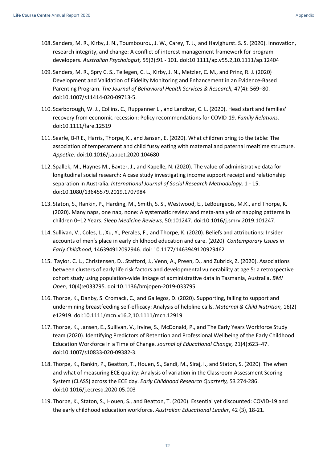- 108. Sanders, M. R., Kirby, J. N., Toumbourou, J. W., Carey, T. J., and Havighurst. S. S. (2020). Innovation, research integrity, and change: A conflict of interest management framework for program developers. *Australian Psychologist,* 55(2):91 - 101. doi:10.1111/ap.v55.2,10.1111/ap.12404
- 109. Sanders, M. R., Spry C. S., Tellegen, C. L., Kirby, J. N., Metzler, C. M., and Prinz, R. J. (2020) Development and Validation of Fidelity Monitoring and Enhancement in an Evidence-Based Parenting Program. *The Journal of Behavioral Health Services & Research,* 47(4): 569–80. doi:10.1007/s11414-020-09713-5.
- 110. Scarborough, W. J., Collins, C., Ruppanner L., and Landivar, C. L. (2020). Head start and families' recovery from economic recession: Policy recommendations for COVID-19. *Family Relations.* doi:10.1111/fare.12519
- 111. Searle, B-R E., Harris, Thorpe, K., and Jansen, E. (2020). What children bring to the table: The association of temperament and child fussy eating with maternal and paternal mealtime structure. *Appetite*. doi:10.1016/j.appet.2020.104680
- 112. Spallek, M., Haynes M., Baxter, J., and Kapelle, N. (2020). The value of administrative data for longitudinal social research: A case study investigating income support receipt and relationship separation in Australia. *International Journal of Social Research Methodology,* 1 - 15. doi:10.1080/13645579.2019.1707984
- 113. Staton, S., Rankin, P., Harding, M., Smith, S. S., Westwood, E., LeBourgeois, M.K., and Thorpe, K. (2020). Many naps, one nap, none: A systematic review and meta-analysis of napping patterns in children 0–12 Years. *Sleep Medicine Reviews,* 50:101247. doi:10.1016/j.smrv.2019.101247.
- 114. Sullivan, V., Coles, L., Xu, Y., Perales, F., and Thorpe, K. (2020). Beliefs and attributions: Insider accounts of men's place in early childhood education and care. (2020). *Contemporary Issues in Early Childhood*, 146394912092946. doi: 10.1177/1463949120929462
- 115. Taylor, C. L., Christensen, D., Stafford, J., Venn, A., Preen, D., and Zubrick, Z. (2020). Associations between clusters of early life risk factors and developmental vulnerability at age 5: a retrospective cohort study using population-wide linkage of administrative data in Tasmania, Australia. *BMJ Open,* 10(4):e033795. doi:10.1136/bmjopen-2019-033795
- 116. Thorpe, K., Danby, S. Cromack, C., and Gallegos, D. (2020). Supporting, failing to support and undermining breastfeeding self-efficacy: Analysis of helpline calls. *Maternal & Child Nutrition,* 16(2) e12919. doi:10.1111/mcn.v16.2,10.1111/mcn.12919
- 117. Thorpe, K., Jansen, E., Sullivan, V., Irvine, S., McDonald, P., and The Early Years Workforce Study team (2020). Identifying Predictors of Retention and Professional Wellbeing of the Early Childhood Education Workforce in a Time of Change*. Journal of Educational Change,* 21(4):623–47. doi:10.1007/s10833-020-09382-3.
- 118. Thorpe, K., Rankin, P., Beatton, T., Houen, S., Sandi, M., Siraj, I., and Staton, S. (2020). The when and what of measuring ECE quality: Analysis of variation in the Classroom Assessment Scoring System (CLASS) across the ECE day. *Early Childhood Research Quarterly,* 53 274-286. doi:10.1016/j.ecresq.2020.05.003
- 119. Thorpe, K., Staton, S., Houen, S., and Beatton, T. (2020). Essential yet discounted: COVID-19 and the early childhood education workforce. *Australian Educational Leader*, 42 (3), 18-21.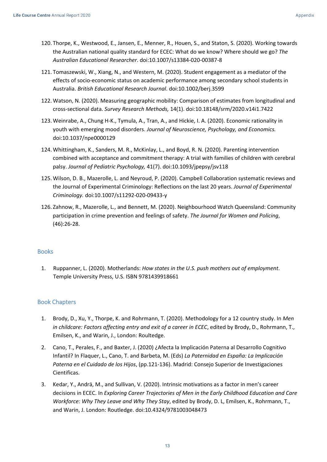- 120. Thorpe, K., Westwood, E., Jansen, E., Menner, R., Houen, S., and Staton, S. (2020). Working towards the Australian national quality standard for ECEC: What do we know? Where should we go? *The Australian Educational Researcher*. doi:10.1007/s13384-020-00387-8
- 121. Tomaszewski, W., Xiang, N., and Western, M. (2020). Student engagement as a mediator of the effects of socio-economic status on academic performance among secondary school students in Australia. *British Educational Research Journal*. doi:10.1002/berj.3599
- 122. Watson, N. (2020). Measuring geographic mobility: Comparison of estimates from longitudinal and cross-sectional data. *Survey Research Methods,* 14(1). doi:10.18148/srm/2020.v14i1.7422
- 123. Weinrabe, A., Chung H-K., Tymula, A., Tran, A., and Hickie, I. A. (2020). Economic rationality in youth with emerging mood disorders. *Journal of Neuroscience, Psychology, and Economics.* doi:10.1037/npe0000129
- 124. Whittingham, K., Sanders, M. R., McKinlay, L., and Boyd, R. N. (2020). Parenting intervention combined with acceptance and commitment therapy: A trial with families of children with cerebral palsy. *Journal of Pediatric Psychology,* 41(7). doi:10.1093/jpepsy/jsv118
- 125. Wilson, D. B., Mazerolle, L. and Neyroud, P. (2020). Campbell Collaboration systematic reviews and the Journal of Experimental Criminology: Reflections on the last 20 years. *Journal of Experimental Criminology.* doi:10.1007/s11292-020-09433-y
- 126. Zahnow, R., Mazerolle, L., and Bennett, M. (2020). Neighbourhood Watch Queensland: Community participation in crime prevention and feelings of safety. *The Journal for Women and Policing*, (46):26-28.

## <span id="page-12-0"></span>Books

1. Ruppanner, L. (2020). Motherlands: *How states in the U.S. push mothers out of employment*. Temple University Press, U.S. ISBN 9781439918661

## <span id="page-12-1"></span>Book Chapters

- 1. Brody, D., Xu, Y., Thorpe, K. and Rohrmann, T. (2020). Methodology for a 12 country study. In *Men in childcare: Factors affecting entry and exit of a career in ECEC*, edited by Brody, D., Rohrmann, T., Emilsen, K., and Warin, J., London: Roultedge.
- 2. Cano, T., Perales, F., and Baxter, J. (2020) ¿Afecta la Implicación Paterna al Desarrollo Cognitivo Infantil? In Flaquer, L., Cano, T. and Barbeta, M. (Eds) *La Paternidad en España: La Implicación Paterna en el Cuidado de los Hijos*, (pp.121-136). Madrid: Consejo Superior de Investigaciones Cientificas.
- 3. Kedar, Y., Andrä, M., and Sullivan, V. (2020). Intrinsic motivations as a factor in men's career decisions in ECEC. In *Exploring Career Trajectories of Men in the Early Childhood Education and Care Workforce: Why They Leave and Why They Stay*, edited by Brody, D. L, Emilsen, K., Rohrmann, T., and Warin, J. London: Routledge. doi:10.4324/9781003048473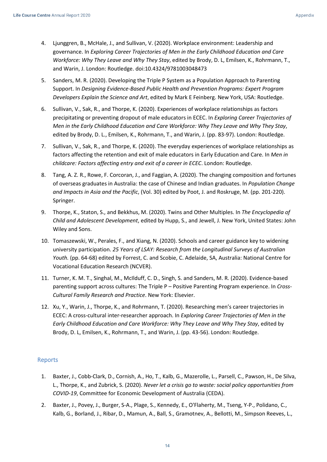- 4. Ljunggren, B., McHale, J., and Sullivan, V. (2020). Workplace environment: Leadership and governance. In *Exploring Career Trajectories of Men in the Early Childhood Education and Care Workforce: Why They Leave and Why They Stay*, edited by Brody, D. L, Emilsen, K., Rohrmann, T., and Warin, J. London: Routledge. doi:10.4324/9781003048473
- 5. Sanders, M. R. (2020). Developing the Triple P System as a Population Approach to Parenting Support. In *Designing Evidence-Based Public Health and Prevention Programs: Expert Program Developers Explain the Science and Art*, edited by Mark E Feinberg. New York, USA: Routledge.
- 6. Sullivan, V., Sak, R., and Thorpe, K. (2020). Experiences of workplace relationships as factors precipitating or preventing dropout of male educators in ECEC. In *Exploring Career Trajectories of Men in the Early Childhood Education and Care Workforce: Why They Leave and Why They Stay*, edited by Brody, D. L., Emilsen, K., Rohrmann, T., and Warin, J. (pp. 83-97). London: Routledge.
- 7. Sullivan, V., Sak, R., and Thorpe, K. (2020). The everyday experiences of workplace relationships as factors affecting the retention and exit of male educators in Early Education and Care. In *Men in childcare: Factors affecting entry and exit of a career in ECEC*. London: Routledge.
- 8. Tang, A. Z. R., Rowe, F. Corcoran, J., and Faggian, A. (2020). The changing composition and fortunes of overseas graduates in Australia: the case of Chinese and Indian graduates. In *Population Change and Impacts in Asia and the Pacific*, (Vol. 30) edited by Poot, J. and Roskruge, M. (pp. 201-220). Springer.
- 9. Thorpe, K., Staton, S., and Bekkhus, M. (2020). Twins and Other Multiples. In *The Encyclopedia of Child and Adolescent Development*, edited by Hupp, S., and Jewell, J. New York, United States: John Wiley and Sons.
- 10. Tomaszewski, W., Perales, F., and Xiang, N. (2020). Schools and career guidance key to widening university participation. *25 Years of LSAY: Research from the Longitudinal Surveys of Australian Youth.* (pp. 64-68) edited by Forrest, C. and Scobie, C. Adelaide, SA, Australia: National Centre for Vocational Education Research (NCVER).
- 11. Turner, K. M. T., Singhal, M., McIlduff, C. D., Singh, S. and Sanders, M. R. (2020). Evidence-based parenting support across cultures: The Triple P – Positive Parenting Program experience. In *Cross-Cultural Family Research and Practice*. New York: Elsevier.
- 12. Xu, Y., Warin, J., Thorpe, K., and Rohrmann, T. (2020). Researching men's career trajectories in ECEC: A cross-cultural inter-researcher approach. In *Exploring Career Trajectories of Men in the Early Childhood Education and Care Workforce: Why They Leave and Why They Stay*, edited by Brody, D. L, Emilsen, K., Rohrmann, T., and Warin, J. (pp. 43-56). London: Routledge.

## <span id="page-13-0"></span>Reports

- 1. Baxter, J., Cobb-Clark, D., Cornish, A., Ho, T., Kalb, G., Mazerolle, L., Parsell, C., Pawson, H., De Silva, L., Thorpe, K., and Zubrick, S. (2020). *Never let a crisis go to waste: social policy opportunities from COVID-19*, Committee for Economic Development of Australia (CEDA).
- 2. Baxter, J., Povey, J., Burger, S-A., Plage, S., Kennedy, E., O'Flaherty, M., Tseng, Y-P., Polidano, C., Kalb, G., Borland, J., Ribar, D., Mamun, A., Ball, S., Gramotnev, A., Bellotti, M., Simpson Reeves, L.,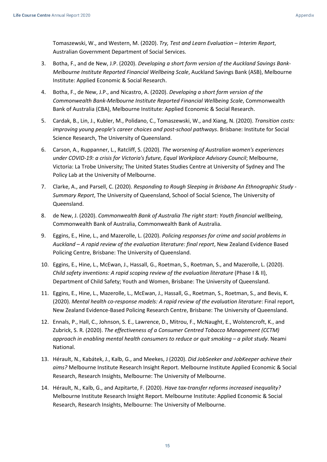Tomaszewski, W., and Western, M. (2020). *Try, Test and Learn Evaluation – Interim Report*, Australian Government Department of Social Services.

- 3. Botha, F., and de New, J.P. (2020). *Developing a short form version of the Auckland Savings Bank-Melbourne Institute Reported Financial Wellbeing Scale*, Auckland Savings Bank (ASB), Melbourne Institute: Applied Economic & Social Research.
- 4. Botha, F., de New, J.P., and Nicastro, A. (2020). *Developing a short form version of the Commonwealth Bank-Melbourne Institute Reported Financial Wellbeing Scale*, Commonwealth Bank of Australia (CBA), Melbourne Institute: Applied Economic & Social Research.
- 5. Cardak, B., Lin, J., Kubler, M., Polidano, C., Tomaszewski, W., and Xiang, N. (2020). *Transition costs: improving young people's career choices and post-school pathways*. Brisbane: Institute for Social Science Research, The University of Queensland.
- 6. Carson, A., Ruppanner, L., Ratcliff, S. (2020). *The worsening of Australian women's experiences under COVID-19: a crisis for Victoria's future, Equal Workplace Advisory Council*; Melbourne, Victoria: La Trobe University; The United States Studies Centre at University of Sydney and The Policy Lab at the University of Melbourne.
- 7. Clarke, A., and Parsell, C. (2020). *Responding to Rough Sleeping in Brisbane An Ethnographic Study - Summary Report*, The University of Queensland, School of Social Science, The University of Queensland.
- 8. de New, J. (2020). *Commonwealth Bank of Australia The right start: Youth financial wellbeing*, Commonwealth Bank of Australia, Commonwealth Bank of Australia.
- 9. Eggins, E., Hine, L., and Mazerolle, L. (2020). *Policing responses for crime and social problems in Auckland – A rapid review of the evaluation literature: final report*, New Zealand Evidence Based Policing Centre, Brisbane: The University of Queensland.
- 10. Eggins, E., Hine, L., McEwan, J., Hassall, G., Roetman, S., Roetman, S., and Mazerolle, L. (2020). *Child safety inventions: A rapid scoping review of the evaluation literature* (Phase I & II), Department of Child Safety; Youth and Women, Brisbane: The University of Queensland.
- 11. Eggins, E., Hine, L., Mazerolle, L., McEwan, J., Hassall, G., Roetman, S., Roetman, S., and Bevis, K. (2020). *Mental health co-response models: A rapid review of the evaluation literature*: Final report, New Zealand Evidence-Based Policing Research Centre, Brisbane: The University of Queensland.
- 12. Ennals, P., Hall, C., Johnson, S. E., Lawrence, D., Mitrou, F., McNaught, E., Wolstencroft, K., and Zubrick, S. R. (2020). *The effectiveness of a Consumer Centred Tobacco Management (CCTM) approach in enabling mental health consumers to reduce or quit smoking – a pilot study*. Neami National.
- 13. Hérault, N., Kabátek, J., Kalb, G., and Meekes, J (2020). *Did JobSeeker and JobKeeper achieve their aims?* Melbourne Institute Research Insight Report. Melbourne Institute Applied Economic & Social Research, Research Insights, Melbourne: The University of Melbourne.
- 14. Hérault, N., Kalb, G., and Azpitarte, F. (2020). *Have tax-transfer reforms increased inequality?* Melbourne Institute Research Insight Report. Melbourne Institute: Applied Economic & Social Research, Research Insights, Melbourne: The University of Melbourne.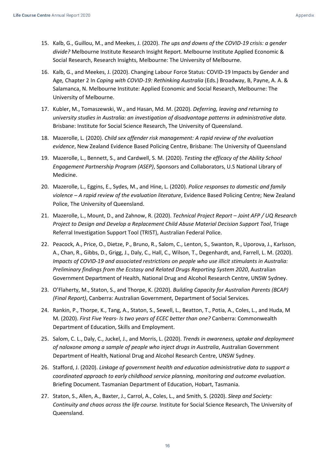- 15. Kalb, G., Guillou, M., and Meekes, J. (2020). *The ups and downs of the COVID-19 crisis: a gender divide?* Melbourne Institute Research Insight Report. Melbourne Institute Applied Economic & Social Research, Research Insights, Melbourne: The University of Melbourne.
- 16. Kalb, G., and Meekes, J. (2020). Changing Labour Force Status: COVID-19 Impacts by Gender and Age*,* Chapter 2 In *Coping with COVID-19: Rethinking Australia* (Eds.) Broadway, B, Payne, A. A. & Salamanca, N. Melbourne Institute: Applied Economic and Social Research, Melbourne: The University of Melbourne.
- 17. Kubler, M., Tomaszewski, W., and Hasan, Md. M. (2020). *Deferring, leaving and returning to university studies in Australia: an investigation of disadvantage patterns in administrative data*. Brisbane: Institute for Social Science Research, The University of Queensland.
- 18. Mazerolle, L. (2020). *Child sex offender risk management: A rapid review of the evaluation evidence*, New Zealand Evidence Based Policing Centre, Brisbane: The University of Queensland
- 19. Mazerolle, L., Bennett, S., and Cardwell, S. M. (2020). *Testing the efficacy of the Ability School Engagement Partnership Program (ASEP)*, Sponsors and Collaborators, U.S National Library of Medicine.
- 20. Mazerolle, L., Eggins, E., Sydes, M., and Hine, L. (2020). *Police responses to domestic and family violence – A rapid review of the evaluation literature*, Evidence Based Policing Centre; New Zealand Police, The University of Queensland.
- 21. Mazerolle, L., Mount, D., and Zahnow, R. (2020). *Technical Project Report – Joint AFP / UQ Research Project to Design and Develop a Replacement Child Abuse Material Decision Support Tool*, Triage Referral Investigation Support Tool (TRIST), Australian Federal Police.
- 22. Peacock, A., Price, O., Dietze, P., Bruno, R., Salom, C., Lenton, S., Swanton, R., Uporova, J., Karlsson, A., Chan, R., Gibbs, D., Grigg, J., Daly, C., Hall, C., Wilson, T., Degenhardt, and, Farrell, L. M. (2020). *Impacts of COVID-19 and associated restrictions on people who use illicit stimulants in Australia: Preliminary findings from the Ecstasy and Related Drugs Reporting System 2020*, Australian Government Department of Health, National Drug and Alcohol Research Centre, UNSW Sydney.
- 23. O'Flaherty, M., Staton, S., and Thorpe, K. (2020). *Building Capacity for Australian Parents (BCAP) (Final Report)*, Canberra: Australian Government, Department of Social Services.
- 24. Rankin, P., Thorpe, K., Tang, A., Staton, S., Sewell, L., Beatton, T., Potia, A., Coles, L., and Huda, M M. (2020). *First Five Years- Is two years of ECEC better than one?* Canberra: Commonwealth Department of Education, Skills and Employment.
- 25. Salom, C. L., Daly, C., Juckel, J., and Morris, L. (2020). *Trends in awareness, uptake and deployment of naloxone among a sample of people who inject drugs in Australia*, Australian Government Department of Health, National Drug and Alcohol Research Centre, UNSW Sydney.
- 26. Stafford, J. (2020). *Linkage of government health and education administrative data to support a coordinated approach to early childhood service planning, monitoring and outcome evaluation*. Briefing Document. Tasmanian Department of Education, Hobart, Tasmania.
- 27. Staton, S., Allen, A., Baxter, J., Carrol, A., Coles, L., and Smith, S. (2020). *Sleep and Society: Continuity and chaos across the life course.* Institute for Social Science Research, The University of Queensland.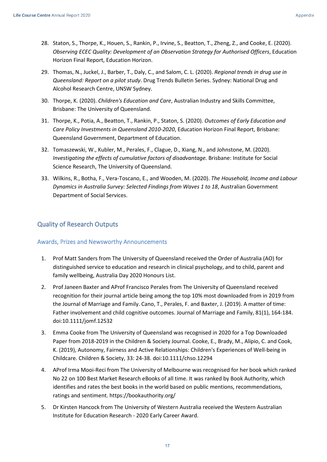- 28. Staton, S., Thorpe, K., Houen, S., Rankin, P., Irvine, S., Beatton, T., Zheng, Z., and Cooke, E. (2020). *Observing ECEC Quality: Development of an Observation Strategy for Authorised Officers*, Education Horizon Final Report, Education Horizon.
- 29. Thomas, N., Juckel, J., Barber, T., Daly, C., and Salom, C. L. (2020). *Regional trends in drug use in Queensland: Report on a pilot study*. Drug Trends Bulletin Series. Sydney: National Drug and Alcohol Research Centre, UNSW Sydney.
- 30. Thorpe, K. (2020). *Children's Education and Care*, Australian Industry and Skills Committee, Brisbane: The University of Queensland.
- 31. Thorpe, K., Potia, A., Beatton, T., Rankin, P., Staton, S. (2020). *Outcomes of Early Education and Care Policy Investments in Queensland 2010-2020*, Education Horizon Final Report, Brisbane: Queensland Government, Department of Education.
- 32. Tomaszewski, W., Kubler, M., Perales, F., Clague, D., Xiang, N., and Johnstone, M. (2020). *Investigating the effects of cumulative factors of disadvantage.* Brisbane: Institute for Social Science Research, The University of Queensland.
- 33. Wilkins, R., Botha, F., Vera-Toscano, E., and Wooden, M. (2020). *The Household, Income and Labour Dynamics in Australia Survey: Selected Findings from Waves 1 to 18*, Australian Government Department of Social Services.

## <span id="page-16-0"></span>Quality of Research Outputs

#### <span id="page-16-1"></span>Awards, Prizes and Newsworthy Announcements

- 1. Prof Matt Sanders from The University of Queensland received the Order of Australia (AO) for distinguished service to education and research in clinical psychology, and to child, parent and family wellbeing, Australia Day 2020 Honours List.
- 2. Prof Janeen Baxter and AProf Francisco Perales from The University of Queensland received recognition for their journal article being among the top 10% most downloaded from in 2019 from the Journal of Marriage and Family. Cano, T., Perales, F. and Baxter, J. (2019). A matter of time: Father involvement and child cognitive outcomes. Journal of Marriage and Family, 81(1), 164-184. doi:10.1111/jomf.12532
- 3. Emma Cooke from The University of Queensland was recognised in 2020 for a Top Downloaded Paper from 2018-2019 in the Children & Society Journal. Cooke, E., Brady, M., Alipio, C. and Cook, K. (2019), Autonomy, Fairness and Active Relationships: Children's Experiences of Well-being in Childcare. Children & Society, 33: 24-38. doi:10.1111/chso.12294
- 4. AProf Irma Mooi-Reci from The University of Melbourne was recognised for her book which ranked No 22 on 100 Best Market Research eBooks of all time. It was ranked by Book Authority, which identifies and rates the best books in the world based on public mentions, recommendations, ratings and sentiment. https://bookauthority.org/
- 5. Dr Kirsten Hancock from The University of Western Australia received the Western Australian Institute for Education Research - 2020 Early Career Award.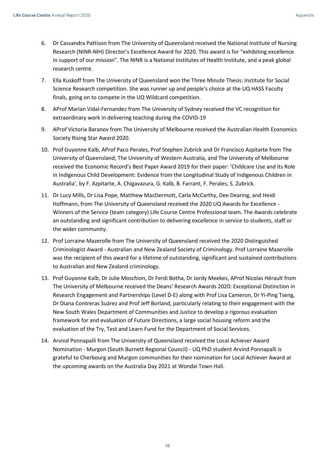- 6. Dr Cassandra Pattison from The University of Queensland received the National Institute of Nursing Research (NINR-NIH) Director's Excellence Award for 2020. This award is for "exhibiting excellence in support of our mission". The NINR is a National Institutes of Health Institute, and a peak global research centre.
- 7. Ella Kuskoff from The University of Queensland won the Three Minute Thesis: Institute for Social Science Research competition. She was runner up and people's choice at the UQ HASS Faculty finals, going on to compete in the UQ Wildcard competition.
- 8. AProf Marian Vidal-Fernandez from The University of Sydney received the VC recognition for extraordinary work in delivering teaching during the COVID-19
- 9. AProf Victoria Baranov from The University of Melbourne received the Australian Health Economics Society Rising Star Award 2020.
- 10. Prof Guyonne Kalb, AProf Paco Perales, Prof Stephen Zubrick and Dr Francisco Azpitarte from The University of Queensland, The University of Western Australia, and The University of Melbourne received the Economic Record's Best Paper Award 2019 for their paper: 'Childcare Use and Its Role in Indigenous Child Development: Evidence from the Longitudinal Study of Indigenous Children in Australia', by F. Azpitarte, A. Chigavazura, G. Kalb, B. Farrant, F. Perales, S. Zubrick.
- 11. Dr Lucy Mills, Dr Lisa Pope, Matthew MacDermott, Carla McCarthy, Dee Dearing, and Heidi Hoffmann, from The University of Queensland received the 2020 UQ Awards for Excellence - Winners of the Service (team category) Life Course Centre Professional team. The Awards celebrate an outstanding and significant contribution to delivering excellence in service to students, staff or the wider community.
- 12. Prof Lorraine Mazerolle from The University of Queensland received the 2020 Distinguished Criminologist Award - Australian and New Zealand Society of Criminology. Prof Lorraine Mazerolle was the recipient of this award for a lifetime of outstanding, significant and sustained contributions to Australian and New Zealand criminology.
- 13. Prof Guyonne Kalb, Dr Julie Moschion, Dr Ferdi Botha, Dr Jordy Meekes, AProf Nicolas Hérault from The University of Melbourne received the Deans' Research Awards 2020: Exceptional Distinction in Research Engagement and Partnerships (Level D-E) along with Prof Lisa Cameron, Dr Yi-Ping Tseng, Dr Diana Contreras Suárez and Prof Jeff Borland, particularly relating to their engagement with the New South Wales Department of Communities and Justice to develop a rigorous evaluation framework for and evaluation of Future Directions, a large social housing reform and the evaluation of the Try, Test and Learn Fund for the Department of Social Services.
- 14. Arvind Ponnapalli from The University of Queensland received the Local Achiever Award Nomination - Murgon (South Burnett Regional Council) - UQ PhD student Arvind Ponnapalli is grateful to Cherbourg and Murgon communities for their nomination for Local Achiever Award at the upcoming awards on the Australia Day 2021 at Wondai Town Hall.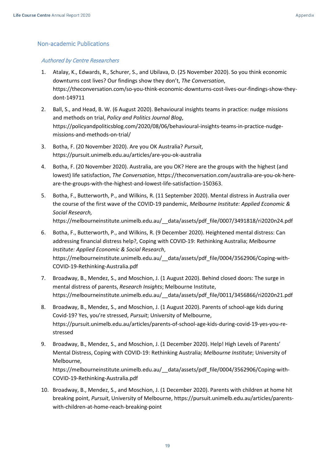### <span id="page-18-0"></span>Non-academic Publications

#### Authored by Centre Researchers

- 1. Atalay, K., Edwards, R., Schurer, S., and Ubilava, D. (25 November 2020). So you think economic downturns cost lives? Our findings show they don't, *The Conversation*, https://theconversation.com/so-you-think-economic-downturns-cost-lives-our-findings-show-theydont-149711
- 2. Ball, S., and Head, B. W. (6 August 2020). Behavioural insights teams in practice: nudge missions and methods on trial, *Policy and Politics Journal Blog*, https://policyandpoliticsblog.com/2020/08/06/behavioural-insights-teams-in-practice-nudgemissions-and-methods-on-trial/
- 3. Botha, F. (20 November 2020). Are you OK Australia? *Pursuit*, https://pursuit.unimelb.edu.au/articles/are-you-ok-australia

COVID-19-Rethinking-Australia.pdf

- 4. Botha, F. (20 November 2020). Australia, are you OK? Here are the groups with the highest (and lowest) life satisfaction, *The Conversation*, https://theconversation.com/australia-are-you-ok-hereare-the-groups-with-the-highest-and-lowest-life-satisfaction-150363.
- 5. Botha, F., Butterworth, P., and Wilkins, R. (11 September 2020). Mental distress in Australia over the course of the first wave of the COVID-19 pandemic, *Melbourne Institute: Applied Economic & Social Research,*

https://melbourneinstitute.unimelb.edu.au/\_\_data/assets/pdf\_file/0007/3491818/ri2020n24.pdf

- 6. Botha, F., Butterworth, P., and Wilkins, R. (9 December 2020). Heightened mental distress: Can addressing financial distress help?, Coping with COVID-19: Rethinking Australia; *Melbourne Institute: Applied Economic & Social Research*, https://melbourneinstitute.unimelb.edu.au/\_\_data/assets/pdf\_file/0004/3562906/Coping-with-COVID-19-Rethinking-Australia.pdf
- 7. Broadway, B., Mendez, S., and Moschion, J. (1 August 2020). Behind closed doors: The surge in mental distress of parents, *Research Insights*; Melbourne Institute, https://melbourneinstitute.unimelb.edu.au/\_\_data/assets/pdf\_file/0011/3456866/ri2020n21.pdf
- 8. Broadway, B., Mendez, S., and Moschion, J. (1 August 2020). Parents of school-age kids during Covid-19? Yes, you're stressed, *Pursuit*; University of Melbourne, https://pursuit.unimelb.edu.au/articles/parents-of-school-age-kids-during-covid-19-yes-you-restressed
- 9. Broadway, B., Mendez, S., and Moschion, J. (1 December 2020). Help! High Levels of Parents' Mental Distress, Coping with COVID-19: Rethinking Australia; *Melbourne Institute*; University of Melbourne, https://melbourneinstitute.unimelb.edu.au/\_\_data/assets/pdf\_file/0004/3562906/Coping-with-
- 10. Broadway, B., Mendez, S., and Moschion, J. (1 December 2020). Parents with children at home hit breaking point, *Pursuit*, University of Melbourne, https://pursuit.unimelb.edu.au/articles/parentswith-children-at-home-reach-breaking-point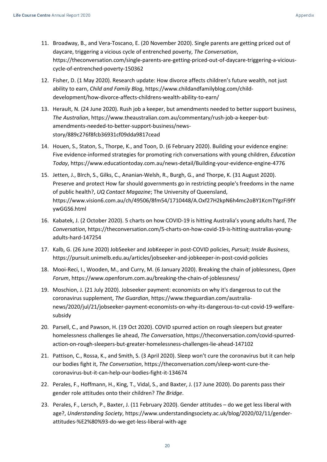- 11. Broadway, B., and Vera-Toscano, E. (20 November 2020). Single parents are getting priced out of daycare, triggering a vicious cycle of entrenched poverty, *The Conversation*, https://theconversation.com/single-parents-are-getting-priced-out-of-daycare-triggering-a-viciouscycle-of-entrenched-poverty-150362
- 12. Fisher, D. (1 May 2020). Research update: How divorce affects children's future wealth, not just ability to earn, *Child and Family Blog*, https://www.childandfamilyblog.com/childdevelopment/how-divorce-affects-childrens-wealth-ability-to-earn/
- 13. Herault, N. (24 June 2020). Rush job a keeper, but amendments needed to better support business, *The Australian*, https://www.theaustralian.com.au/commentary/rush-job-a-keeper-butamendments-needed-to-better-support-business/newsstory/889c276f8fcb36931cf09dda9817cead
- 14. Houen, S., Staton, S., Thorpe, K., and Toon, D. (6 February 2020). Building your evidence engine: Five evidence-informed strategies for promoting rich conversations with young children, *Education Today*, https://www.educationtoday.com.au/news-detail/Building-your-evidence-engine-4776
- 15. Jetten, J., BIrch, S., Gilks, C., Ananian-Welsh, R., Burgh, G., and Thorpe, K. (31 August 2020). Preserve and protect How far should governments go in restricting people's freedoms in the name of public health?, *UQ Contact Magazine*; The University of Queensland, https://www.vision6.com.au/ch/49506/8fm54/1710448/A.Oxf27H2kpN6h4mc2oBY1KcmTYgzFi9fY ywGGS6.html
- 16. Kabatek, J. (2 October 2020). 5 charts on how COVID-19 is hitting Australia's young adults hard, *The Conversation*, https://theconversation.com/5-charts-on-how-covid-19-is-hitting-australias-youngadults-hard-147254
- 17. Kalb, G. (26 June 2020) JobSeeker and JobKeeper in post-COVID policies, *Pursuit; Inside Business*, https://pursuit.unimelb.edu.au/articles/jobseeker-and-jobkeeper-in-post-covid-policies
- 18. Mooi-Reci, I., Wooden, M., and Curry, M. (6 January 2020). Breaking the chain of joblessness, *Open Forum*, https://www.openforum.com.au/breaking-the-chain-of-joblessness/
- 19. Moschion, J. (21 July 2020). Jobseeker payment: economists on why it's dangerous to cut the coronavirus supplement, *The Guardian*, https://www.theguardian.com/australianews/2020/jul/21/jobseeker-payment-economists-on-why-its-dangerous-to-cut-covid-19-welfaresubsidy
- 20. Parsell, C., and Pawson, H. (19 Oct 2020). COVID spurred action on rough sleepers but greater homelessness challenges lie ahead, *The Conversation*, https://theconversation.com/covid-spurredaction-on-rough-sleepers-but-greater-homelessness-challenges-lie-ahead-147102
- 21. Pattison, C., Rossa, K., and Smith, S. (3 April 2020). Sleep won't cure the coronavirus but it can help our bodies fight it, *The Conversation*, https://theconversation.com/sleep-wont-cure-thecoronavirus-but-it-can-help-our-bodies-fight-it-134674
- 22. Perales, F., Hoffmann, H., King, T., Vidal, S., and Baxter, J. (17 June 2020). Do parents pass their gender role attitudes onto their children? *The Bridge*.
- 23. Perales, F., Lersch, P., Baxter, J. (11 February 2020). Gender attitudes do we get less liberal with age?, *Understanding Society*, https://www.understandingsociety.ac.uk/blog/2020/02/11/genderattitudes-%E2%80%93-do-we-get-less-liberal-with-age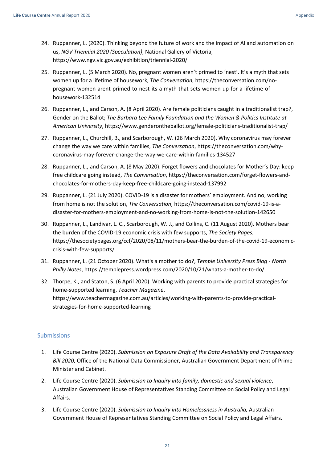- 24. Ruppanner, L. (2020). Thinking beyond the future of work and the impact of AI and automation on us, *NGV Triennial 2020 (Speculation)*, National Gallery of Victoria, https://www.ngv.vic.gov.au/exhibition/triennial-2020/
- 25. Ruppanner, L. (5 March 2020). No, pregnant women aren't primed to 'nest'. It's a myth that sets women up for a lifetime of housework, *The Conversation*, https://theconversation.com/nopregnant-women-arent-primed-to-nest-its-a-myth-that-sets-women-up-for-a-lifetime-ofhousework-132514
- 26. Ruppanner, L., and Carson, A. (8 April 2020). Are female politicians caught in a traditionalist trap?, Gender on the Ballot; *The Barbara Lee Family Foundation and the Women & Politics Institute at American University*, https://www.genderontheballot.org/female-politicians-traditionalist-trap/
- 27. Ruppanner, L., Churchill, B., and Scarborough, W. (26 March 2020). Why coronavirus may forever change the way we care within families, *The Conversation*, https://theconversation.com/whycoronavirus-may-forever-change-the-way-we-care-within-families-134527
- 28. Ruppanner, L., and Carson, A. (8 May 2020). Forget flowers and chocolates for Mother's Day: keep free childcare going instead, *The Conversation*, https://theconversation.com/forget-flowers-andchocolates-for-mothers-day-keep-free-childcare-going-instead-137992
- 29. Ruppanner, L. (21 July 2020). COVID-19 is a disaster for mothers' employment. And no, working from home is not the solution, *The Conversation*, https://theconversation.com/covid-19-is-adisaster-for-mothers-employment-and-no-working-from-home-is-not-the-solution-142650
- 30. Ruppanner, L., Landivar, L. C., Scarborough, W. J., and Collins, C. (11 August 2020). Mothers bear the burden of the COVID-19 economic crisis with few supports, *The Society Pages*, https://thesocietypages.org/ccf/2020/08/11/mothers-bear-the-burden-of-the-covid-19-economiccrisis-with-few-supports/
- 31. Ruppanner, L. (21 October 2020). What's a mother to do?, *Temple University Press Blog - North Philly Notes*, https://templepress.wordpress.com/2020/10/21/whats-a-mother-to-do/
- 32. Thorpe, K., and Staton, S. (6 April 2020). Working with parents to provide practical strategies for home-supported learning, *Teacher Magazine*, https://www.teachermagazine.com.au/articles/working-with-parents-to-provide-practicalstrategies-for-home-supported-learning

## <span id="page-20-0"></span>Submissions

- 1. Life Course Centre (2020). *Submission on Exposure Draft of the Data Availability and Transparency Bill 2020,* Office of the National Data Commissioner, Australian Government Department of Prime Minister and Cabinet.
- 2. Life Course Centre (2020). *Submission to Inquiry into family, domestic and sexual violence*, Australian Government House of Representatives Standing Committee on Social Policy and Legal Affairs.
- 3. Life Course Centre (2020). *Submission to Inquiry into Homelessness in Australia,* Australian Government House of Representatives Standing Committee on Social Policy and Legal Affairs.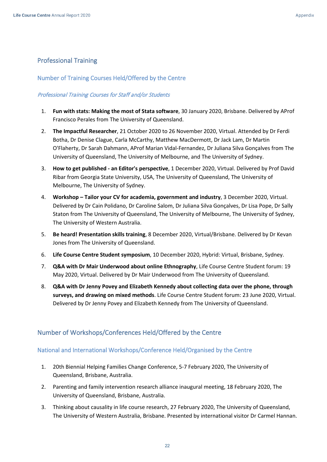## <span id="page-21-0"></span>Professional Training

### <span id="page-21-1"></span>Number of Training Courses Held/Offered by the Centre

### Professional Training Courses for Staff and/or Students

- 1. **Fun with stats: Making the most of Stata software**, 30 January 2020, Brisbane. Delivered by AProf Francisco Perales from The University of Queensland.
- 2. **The Impactful Researcher**, 21 October 2020 to 26 November 2020, Virtual. Attended by Dr Ferdi Botha, Dr Denise Clague, Carla McCarthy, Matthew MacDermott, Dr Jack Lam, Dr Martin O'Flaherty, Dr Sarah Dahmann, AProf Marian Vidal-Fernandez, Dr Juliana Silva Gonçalves from The University of Queensland, The University of Melbourne, and The University of Sydney.
- 3. **How to get published - an Editor's perspective**, 1 December 2020, Virtual. Delivered by Prof David Ribar from Georgia State University, USA, The University of Queensland, The University of Melbourne, The University of Sydney.
- 4. **Workshop – Tailor your CV for academia, government and industry**, 3 December 2020, Virtual. Delivered by Dr Cain Polidano, Dr Caroline Salom, Dr Juliana Silva Gonçalves, Dr Lisa Pope, Dr Sally Staton from The University of Queensland, The University of Melbourne, The University of Sydney, The University of Western Australia.
- 5. **Be heard! Presentation skills training**, 8 December 2020, Virtual/Brisbane. Delivered by Dr Kevan Jones from The University of Queensland.
- 6. **Life Course Centre Student symposium**, 10 December 2020, Hybrid: Virtual, Brisbane, Sydney.
- 7. **Q&A with Dr Mair Underwood about online Ethnography**, Life Course Centre Student forum: 19 May 2020, Virtual. Delivered by Dr Mair Underwood from The University of Queensland.
- 8. **Q&A with Dr Jenny Povey and Elizabeth Kennedy about collecting data over the phone, through surveys, and drawing on mixed methods**. Life Course Centre Student forum: 23 June 2020, Virtual. Delivered by Dr Jenny Povey and Elizabeth Kennedy from The University of Queensland.

## <span id="page-21-2"></span>Number of Workshops/Conferences Held/Offered by the Centre

## <span id="page-21-3"></span>National and International Workshops/Conference Held/Organised by the Centre

- 1. 20th Biennial Helping Families Change Conference, 5-7 February 2020, The University of Queensland, Brisbane, Australia.
- 2. Parenting and family intervention research alliance inaugural meeting, 18 February 2020, The University of Queensland, Brisbane, Australia.
- 3. Thinking about causality in life course research, 27 February 2020, The University of Queensland, The University of Western Australia, Brisbane. Presented by international visitor Dr Carmel Hannan.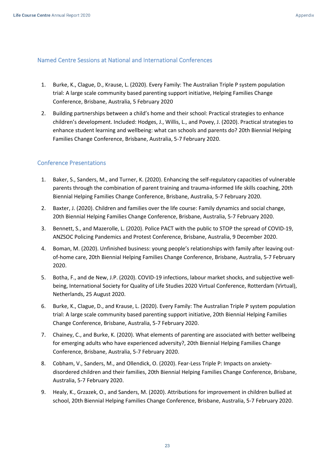#### <span id="page-22-0"></span>Named Centre Sessions at National and International Conferences

- 1. Burke, K., Clague, D., Krause, L. (2020). Every Family: The Australian Triple P system population trial: A large scale community based parenting support initiative, Helping Families Change Conference, Brisbane, Australia, 5 February 2020
- 2. Building partnerships between a child's home and their school: Practical strategies to enhance children's development. Included: Hodges, J., Willis, L., and Povey, J. (2020). Practical strategies to enhance student learning and wellbeing: what can schools and parents do? 20th Biennial Helping Families Change Conference, Brisbane, Australia, 5-7 February 2020.

## <span id="page-22-1"></span>Conference Presentations

- 1. Baker, S., Sanders, M., and Turner, K. (2020). Enhancing the self-regulatory capacities of vulnerable parents through the combination of parent training and trauma-informed life skills coaching, 20th Biennial Helping Families Change Conference, Brisbane, Australia, 5-7 February 2020.
- 2. Baxter, J. (2020). Children and families over the life course: Family dynamics and social change, 20th Biennial Helping Families Change Conference, Brisbane, Australia, 5-7 February 2020.
- 3. Bennett, S., and Mazerolle, L. (2020). Police PACT with the public to STOP the spread of COVID-19, ANZSOC Policing Pandemics and Protest Conference, Brisbane, Australia, 9 December 2020.
- 4. Boman, M. (2020). Unfinished business: young people's relationships with family after leaving outof-home care, 20th Biennial Helping Families Change Conference, Brisbane, Australia, 5-7 February 2020.
- 5. Botha, F., and de New, J.P. (2020). COVID-19 infections, labour market shocks, and subjective wellbeing, International Society for Quality of Life Studies 2020 Virtual Conference, Rotterdam (Virtual), Netherlands, 25 August 2020.
- 6. Burke, K., Clague, D., and Krause, L. (2020). Every Family: The Australian Triple P system population trial: A large scale community based parenting support initiative, 20th Biennial Helping Families Change Conference, Brisbane, Australia, 5-7 February 2020.
- 7. Chainey, C., and Burke, K. (2020). What elements of parenting are associated with better wellbeing for emerging adults who have experienced adversity?, 20th Biennial Helping Families Change Conference, Brisbane, Australia, 5-7 February 2020.
- 8. Cobham, V., Sanders, M., and Ollendick, O. (2020). Fear-Less Triple P: Impacts on anxietydisordered children and their families, 20th Biennial Helping Families Change Conference, Brisbane, Australia, 5-7 February 2020.
- 9. Healy, K., Grzazek, O., and Sanders, M. (2020). Attributions for improvement in children bullied at school, 20th Biennial Helping Families Change Conference, Brisbane, Australia, 5-7 February 2020.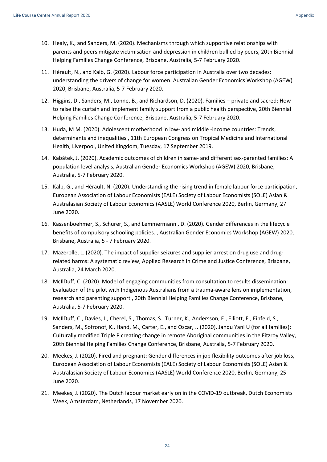- 10. Healy, K., and Sanders, M. (2020). Mechanisms through which supportive relationships with parents and peers mitigate victimisation and depression in children bullied by peers, 20th Biennial Helping Families Change Conference, Brisbane, Australia, 5-7 February 2020.
- 11. Hérault, N., and Kalb, G. (2020). Labour force participation in Australia over two decades: understanding the drivers of change for women. Australian Gender Economics Workshop (AGEW) 2020, Brisbane, Australia, 5-7 February 2020.
- 12. Higgins, D., Sanders, M., Lonne, B., and Richardson, D. (2020). Families private and sacred: How to raise the curtain and implement family support from a public health perspective, 20th Biennial Helping Families Change Conference, Brisbane, Australia, 5-7 February 2020.
- 13. Huda, M M. (2020). Adolescent motherhood in low- and middle -income countries: Trends, determinants and inequalities , 11th European Congress on Tropical Medicine and International Health, Liverpool, United Kingdom, Tuesday, 17 September 2019.
- 14. Kabátek, J. (2020). Academic outcomes of children in same- and different sex-parented families: A population level analysis, Australian Gender Economics Workshop (AGEW) 2020, Brisbane, Australia, 5-7 February 2020.
- 15. Kalb, G., and Hérault, N. (2020). Understanding the rising trend in female labour force participation, European Association of Labour Economists (EALE) Society of Labour Economists (SOLE) Asian & Australasian Society of Labour Economics (AASLE) World Conference 2020, Berlin, Germany, 27 June 2020.
- 16. Kassenboehmer, S., Schurer, S., and Lemmermann , D. (2020). Gender differences in the lifecycle benefits of compulsory schooling policies. , Australian Gender Economics Workshop (AGEW) 2020, Brisbane, Australia, 5 - 7 February 2020.
- 17. Mazerolle, L. (2020). The impact of supplier seizures and supplier arrest on drug use and drugrelated harms: A systematic review, Applied Research in Crime and Justice Conference, Brisbane, Australia, 24 March 2020.
- 18. McIlDuff, C. (2020). Model of engaging communities from consultation to results dissemination: Evaluation of the pilot with Indigenous Australians from a trauma-aware lens on implementation, research and parenting support , 20th Biennial Helping Families Change Conference, Brisbane, Australia, 5-7 February 2020.
- 19. McIlDuff, C., Davies, J., Cherel, S., Thomas, S., Turner, K., Andersson, E., Elliott, E., Einfeld, S., Sanders, M., Sofronof, K., Hand, M., Carter, E., and Oscar, J. (2020). Jandu Yani U (for all families): Culturally modified Triple P creating change in remote Aboriginal communities in the Fitzroy Valley, 20th Biennial Helping Families Change Conference, Brisbane, Australia, 5-7 February 2020.
- 20. Meekes, J. (2020). Fired and pregnant: Gender differences in job flexibility outcomes after job loss, European Association of Labour Economists (EALE) Society of Labour Economists (SOLE) Asian & Australasian Society of Labour Economics (AASLE) World Conference 2020, Berlin, Germany, 25 June 2020.
- 21. Meekes, J. (2020). The Dutch labour market early on in the COVID-19 outbreak, Dutch Economists Week, Amsterdam, Netherlands, 17 November 2020.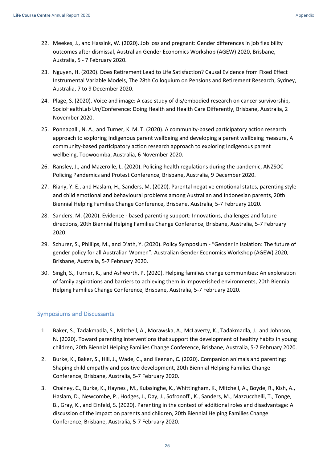- 22. Meekes, J., and Hassink, W. (2020). Job loss and pregnant: Gender differences in job flexibility outcomes after dismissal, Australian Gender Economics Workshop (AGEW) 2020, Brisbane, Australia, 5 - 7 February 2020.
- 23. Nguyen, H. (2020). Does Retirement Lead to Life Satisfaction? Causal Evidence from Fixed Effect Instrumental Variable Models, The 28th Colloquium on Pensions and Retirement Research, Sydney, Australia, 7 to 9 December 2020.
- 24. Plage, S. (2020). Voice and image: A case study of dis/embodied research on cancer survivorship, SocioHealthLab Un/Conference: Doing Health and Health Care Differently, Brisbane, Australia, 2 November 2020.
- 25. Ponnapalli, N. A., and Turner, K. M. T. (2020). A community-based participatory action research approach to exploring Indigenous parent wellbeing and developing a parent wellbeing measure, A community-based participatory action research approach to exploring Indigenous parent wellbeing, Toowoomba, Australia, 6 November 2020.
- 26. Ransley, J., and Mazerolle, L. (2020). Policing health regulations during the pandemic, ANZSOC Policing Pandemics and Protest Conference, Brisbane, Australia, 9 December 2020.
- 27. Riany, Y. E., and Haslam, H., Sanders, M. (2020). Parental negative emotional states, parenting style and child emotional and behavioural problems among Australian and Indonesian parents, 20th Biennial Helping Families Change Conference, Brisbane, Australia, 5-7 February 2020.
- 28. Sanders, M. (2020). Evidence based parenting support: Innovations, challenges and future directions, 20th Biennial Helping Families Change Conference, Brisbane, Australia, 5-7 February 2020.
- 29. Schurer, S., Phillips, M., and D'ath, Y. (2020). Policy Symposium "Gender in isolation: The future of gender policy for all Australian Women", Australian Gender Economics Workshop (AGEW) 2020, Brisbane, Australia, 5-7 February 2020.
- 30. Singh, S., Turner, K., and Ashworth, P. (2020). Helping families change communities: An exploration of family aspirations and barriers to achieving them in impoverished environments, 20th Biennial Helping Families Change Conference, Brisbane, Australia, 5-7 February 2020.

## <span id="page-24-0"></span>Symposiums and Discussants

- 1. Baker, S., Tadakmadla, S., Mitchell, A., Morawska, A., McLaverty, K., Tadakmadla, J., and Johnson, N. (2020). Toward parenting interventions that support the development of healthy habits in young children, 20th Biennial Helping Families Change Conference, Brisbane, Australia, 5-7 February 2020.
- 2. Burke, K., Baker, S., Hill, J., Wade, C., and Keenan, C. (2020). Companion animals and parenting: Shaping child empathy and positive development, 20th Biennial Helping Families Change Conference, Brisbane, Australia, 5-7 February 2020.
- 3. Chainey, C., Burke, K., Haynes , M., Kulasinghe, K., Whittingham, K., Mitchell, A., Boyde, R., Kish, A., Haslam, D., Newcombe, P., Hodges, J., Day, J., Sofronoff , K., Sanders, M., Mazzucchelli, T., Tonge, B., Gray, K., and Einfeld, S. (2020). Parenting in the context of additional roles and disadvantage: A discussion of the impact on parents and children, 20th Biennial Helping Families Change Conference, Brisbane, Australia, 5-7 February 2020.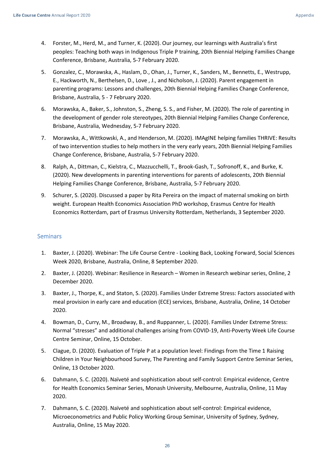- 4. Forster, M., Herd, M., and Turner, K. (2020). Our journey, our learnings with Australia's first peoples: Teaching both ways in Indigenous Triple P training, 20th Biennial Helping Families Change Conference, Brisbane, Australia, 5-7 February 2020.
- 5. Gonzalez, C., Morawska, A., Haslam, D., Ohan, J., Turner, K., Sanders, M., Bennetts, E., Westrupp, E., Hackworth, N., Berthelsen, D., Love , J., and Nicholson, J. (2020). Parent engagement in parenting programs: Lessons and challenges, 20th Biennial Helping Families Change Conference, Brisbane, Australia, 5 - 7 February 2020.
- 6. Morawska, A., Baker, S., Johnston, S., Zheng, S. S., and Fisher, M. (2020). The role of parenting in the development of gender role stereotypes, 20th Biennial Helping Families Change Conference, Brisbane, Australia, Wednesday, 5-7 February 2020.
- 7. Morawska, A., Wittkowski, A., and Henderson, M. (2020). IMAgINE helping families THRIVE: Results of two intervention studies to help mothers in the very early years, 20th Biennial Helping Families Change Conference, Brisbane, Australia, 5-7 February 2020.
- 8. Ralph, A., Dittman, C., Kielstra, C., Mazzucchelli, T., Brook-Gash, T., Sofronoff, K., and Burke, K. (2020). New developments in parenting interventions for parents of adolescents, 20th Biennial Helping Families Change Conference, Brisbane, Australia, 5-7 February 2020.
- 9. Schurer, S. (2020). Discussed a paper by Rita Pereira on the impact of maternal smoking on birth weight. European Health Economics Association PhD workshop, Erasmus Centre for Health Economics Rotterdam, part of Erasmus University Rotterdam, Netherlands, 3 September 2020.

#### <span id="page-25-0"></span>**Seminars**

- 1. Baxter, J. (2020). Webinar: The Life Course Centre Looking Back, Looking Forward, Social Sciences Week 2020, Brisbane, Australia, Online, 8 September 2020.
- 2. Baxter, J. (2020). Webinar: Resilience in Research Women in Research webinar series, Online, 2 December 2020.
- 3. Baxter, J., Thorpe, K., and Staton, S. (2020). Families Under Extreme Stress: Factors associated with meal provision in early care and education (ECE) services, Brisbane, Australia, Online, 14 October 2020.
- 4. Bowman, D., Curry, M., Broadway, B., and Ruppanner, L. (2020). Families Under Extreme Stress: Normal "stresses" and additional challenges arising from COVID-19, Anti-Poverty Week Life Course Centre Seminar, Online, 15 October.
- 5. Clague, D. (2020). Evaluation of Triple P at a population level: Findings from the Time 1 Raising Children in Your Neighbourhood Survey, The Parenting and Family Support Centre Seminar Series, Online, 13 October 2020.
- 6. Dahmann, S. C. (2020). Naïveté and sophistication about self-control: Empirical evidence, Centre for Health Economics Seminar Series, Monash University, Melbourne, Australia, Online, 11 May 2020.
- 7. Dahmann, S. C. (2020). Naïveté and sophistication about self-control: Empirical evidence, Microeconometrics and Public Policy Working Group Seminar, University of Sydney, Sydney, Australia, Online, 15 May 2020.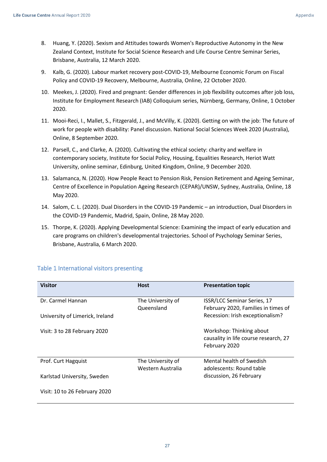- 8. Huang, Y. (2020). Sexism and Attitudes towards Women's Reproductive Autonomy in the New Zealand Context, Institute for Social Science Research and Life Course Centre Seminar Series, Brisbane, Australia, 12 March 2020.
- 9. Kalb, G. (2020). Labour market recovery post-COVID-19, Melbourne Economic Forum on Fiscal Policy and COVID-19 Recovery, Melbourne, Australia, Online, 22 October 2020.
- 10. Meekes, J. (2020). Fired and pregnant: Gender differences in job flexibility outcomes after job loss, Institute for Employment Research (IAB) Colloquium series, Nürnberg, Germany, Online, 1 October 2020.
- 11. Mooi-Reci, I., Mallet, S., Fitzgerald, J., and McVilly, K. (2020). Getting on with the job: The future of work for people with disability: Panel discussion. National Social Sciences Week 2020 (Australia), Online, 8 September 2020.
- 12. Parsell, C., and Clarke, A. (2020). Cultivating the ethical society: charity and welfare in contemporary society, Institute for Social Policy, Housing, Equalities Research, Heriot Watt University, online seminar, Edinburg, United Kingdom, Online, 9 December 2020.
- 13. Salamanca, N. (2020). How People React to Pension Risk, Pension Retirement and Ageing Seminar, Centre of Excellence in Population Ageing Research (CEPAR)/UNSW, Sydney, Australia, Online, 18 May 2020.
- 14. Salom, C. L. (2020). Dual Disorders in the COVID-19 Pandemic an introduction, Dual Disorders in the COVID-19 Pandemic, Madrid, Spain, Online, 28 May 2020.
- 15. Thorpe, K. (2020). Applying Developmental Science: Examining the impact of early education and care programs on children's developmental trajectories. School of Psychology Seminar Series, Brisbane, Australia, 6 March 2020.

| <b>Visitor</b>                  | <b>Host</b>                            | <b>Presentation topic</b>                                                          |
|---------------------------------|----------------------------------------|------------------------------------------------------------------------------------|
| Dr. Carmel Hannan               | The University of<br>Queensland        | ISSR/LCC Seminar Series, 17<br>February 2020, Families in times of                 |
| University of Limerick, Ireland |                                        | Recession: Irish exceptionalism?                                                   |
| Visit: 3 to 28 February 2020    |                                        | Workshop: Thinking about<br>causality in life course research, 27<br>February 2020 |
| Prof. Curt Hagquist             | The University of<br>Western Australia | Mental health of Swedish<br>adolescents: Round table                               |
| Karlstad University, Sweden     |                                        | discussion, 26 February                                                            |
| Visit: 10 to 26 February 2020   |                                        |                                                                                    |

## <span id="page-26-0"></span>Table 1 International visitors presenting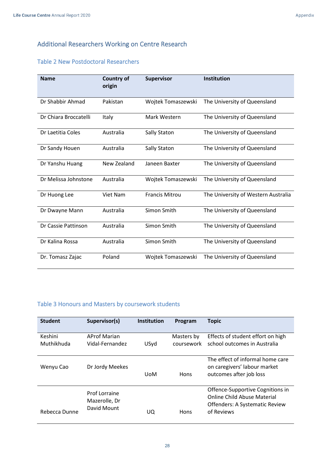## <span id="page-27-0"></span>Additional Researchers Working on Centre Research

## <span id="page-27-1"></span>Table 2 New Postdoctoral Researchers

| <b>Name</b>           | <b>Country of</b><br>origin | <b>Supervisor</b>     | <b>Institution</b>                  |
|-----------------------|-----------------------------|-----------------------|-------------------------------------|
| Dr Shabbir Ahmad      | Pakistan                    | Wojtek Tomaszewski    | The University of Queensland        |
| Dr Chiara Broccatelli | Italy                       | Mark Western          | The University of Queensland        |
| Dr Laetitia Coles     | Australia                   | Sally Staton          | The University of Queensland        |
| Dr Sandy Houen        | Australia                   | <b>Sally Staton</b>   | The University of Queensland        |
| Dr Yanshu Huang       | New Zealand                 | Janeen Baxter         | The University of Queensland        |
| Dr Melissa Johnstone  | Australia                   | Wojtek Tomaszewski    | The University of Queensland        |
| Dr Huong Lee          | <b>Viet Nam</b>             | <b>Francis Mitrou</b> | The University of Western Australia |
| Dr Dwayne Mann        | Australia                   | Simon Smith           | The University of Queensland        |
| Dr Cassie Pattinson   | Australia                   | Simon Smith           | The University of Queensland        |
| Dr Kalina Rossa       | Australia                   | Simon Smith           | The University of Queensland        |
| Dr. Tomasz Zajac      | Poland                      | Wojtek Tomaszewski    | The University of Queensland        |

## <span id="page-27-2"></span>Table 3 Honours and Masters by coursework students

| <b>Student</b>        | Supervisor(s)                                 | Institution | Program                  | <b>Topic</b>                                                                                                           |
|-----------------------|-----------------------------------------------|-------------|--------------------------|------------------------------------------------------------------------------------------------------------------------|
| Keshini<br>Muthikhuda | <b>AProf Marian</b><br>Vidal-Fernandez        | USyd        | Masters by<br>coursework | Effects of student effort on high<br>school outcomes in Australia                                                      |
| Wenyu Cao             | Dr Jordy Meekes                               | <b>UoM</b>  | Hons                     | The effect of informal home care<br>on caregivers' labour market<br>outcomes after job loss                            |
| Rebecca Dunne         | Prof Lorraine<br>Mazerolle, Dr<br>David Mount | UQ          | Hons                     | Offence-Supportive Cognitions in<br>Online Child Abuse Material<br><b>Offenders: A Systematic Review</b><br>of Reviews |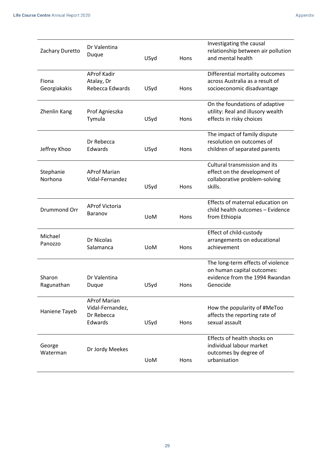| Zachary Duretto       | Dr Valentina<br>Duque                                            | USyd       | Hons | Investigating the causal<br>relationship between air pollution<br>and mental health                           |
|-----------------------|------------------------------------------------------------------|------------|------|---------------------------------------------------------------------------------------------------------------|
| Fiona<br>Georgiakakis | <b>AProf Kadir</b><br>Atalay, Dr<br>Rebecca Edwards              | USyd       | Hons | Differential mortality outcomes<br>across Australia as a result of<br>socioeconomic disadvantage              |
| Zhenlin Kang          | Prof Agnieszka<br>Tymula                                         | USyd       | Hons | On the foundations of adaptive<br>utility: Real and illusory wealth<br>effects in risky choices               |
| Jeffrey Khoo          | Dr Rebecca<br>Edwards                                            | USyd       | Hons | The impact of family dispute<br>resolution on outcomes of<br>children of separated parents                    |
| Stephanie<br>Norhona  | <b>AProf Marian</b><br>Vidal-Fernandez                           | USyd       | Hons | Cultural transmission and its<br>effect on the development of<br>collaborative problem-solving<br>skills.     |
| Drummond Orr          | <b>AProf Victoria</b><br>Baranov                                 | <b>UoM</b> | Hons | Effects of maternal education on<br>child health outcomes - Evidence<br>from Ethiopia                         |
| Michael<br>Panozzo    | Dr Nicolas<br>Salamanca                                          | <b>UoM</b> | Hons | Effect of child-custody<br>arrangements on educational<br>achievement                                         |
| Sharon<br>Ragunathan  | Dr Valentina<br>Duque                                            | USyd       | Hons | The long-term effects of violence<br>on human capital outcomes:<br>evidence from the 1994 Rwandan<br>Genocide |
| Haniene Tayeb         | <b>AProf Marian</b><br>Vidal-Fernandez,<br>Dr Rebecca<br>Edwards | USyd       | Hons | How the popularity of #MeToo<br>affects the reporting rate of<br>sexual assault                               |
| George<br>Waterman    | Dr Jordy Meekes                                                  | <b>UoM</b> | Hons | Effects of health shocks on<br>individual labour market<br>outcomes by degree of<br>urbanisation              |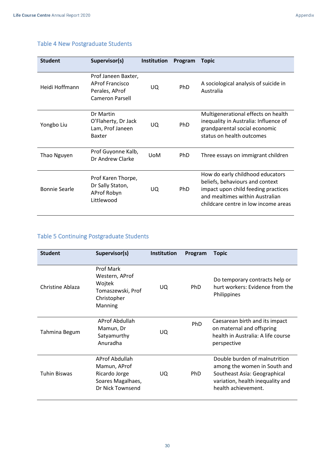| <b>Student</b>       | Supervisor(s)                                                                             | <b>Institution</b> | Program    | <b>Topic</b>                                                                                                                                                                          |
|----------------------|-------------------------------------------------------------------------------------------|--------------------|------------|---------------------------------------------------------------------------------------------------------------------------------------------------------------------------------------|
| Heidi Hoffmann       | Prof Janeen Baxter,<br><b>AProf Francisco</b><br>Perales, AProf<br><b>Cameron Parsell</b> | UQ.                | PhD        | A sociological analysis of suicide in<br>Australia                                                                                                                                    |
| Yongbo Liu           | Dr Martin<br>O'Flaherty, Dr Jack<br>Lam, Prof Janeen<br><b>Baxter</b>                     | UQ                 | <b>PhD</b> | Multigenerational effects on health<br>inequality in Australia: Influence of<br>grandparental social economic<br>status on health outcomes                                            |
| Thao Nguyen          | Prof Guyonne Kalb,<br>Dr Andrew Clarke                                                    | <b>UoM</b>         | <b>PhD</b> | Three essays on immigrant children                                                                                                                                                    |
| <b>Bonnie Searle</b> | Prof Karen Thorpe,<br>Dr Sally Staton,<br>AProf Robyn<br>Littlewood                       | UO.                | <b>PhD</b> | How do early childhood educators<br>beliefs, behaviours and context<br>impact upon child feeding practices<br>and mealtimes within Australian<br>childcare centre in low income areas |

# <span id="page-29-0"></span>Table 4 New Postgraduate Students

## <span id="page-29-1"></span>Table 5 Continuing Postgraduate Students

| <b>Student</b>      | Supervisor(s)                                                                               | <b>Institution</b> | Program    | <b>Topic</b>                                                                                                                                             |
|---------------------|---------------------------------------------------------------------------------------------|--------------------|------------|----------------------------------------------------------------------------------------------------------------------------------------------------------|
| Christine Ablaza    | <b>Prof Mark</b><br>Western, AProf<br>Wojtek<br>Tomaszewski, Prof<br>Christopher<br>Manning | UQ.                | <b>PhD</b> | Do temporary contracts help or<br>hurt workers: Evidence from the<br>Philippines                                                                         |
| Tahmina Begum       | AProf Abdullah<br>Mamun, Dr<br>Satyamurthy<br>Anuradha                                      | UQ.                | PhD        | Caesarean birth and its impact<br>on maternal and offspring<br>health in Australia: A life course<br>perspective                                         |
| <b>Tuhin Biswas</b> | AProf Abdullah<br>Mamun, AProf<br>Ricardo Jorge<br>Soares Magalhaes,<br>Dr Nick Townsend    | UQ.                | PhD.       | Double burden of malnutrition<br>among the women in South and<br>Southeast Asia: Geographical<br>variation, health inequality and<br>health achievement. |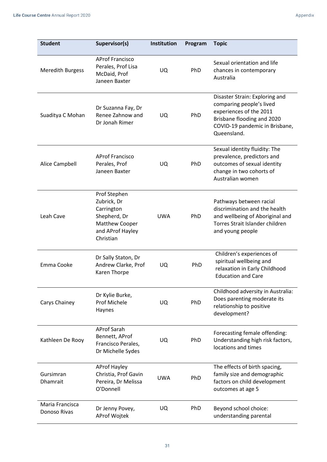| <b>Student</b>                  | Supervisor(s)                                                                                                | Institution | Program | <b>Topic</b>                                                                                                                                                         |
|---------------------------------|--------------------------------------------------------------------------------------------------------------|-------------|---------|----------------------------------------------------------------------------------------------------------------------------------------------------------------------|
| <b>Meredith Burgess</b>         | <b>AProf Francisco</b><br>Perales, Prof Lisa<br>McDaid, Prof<br>Janeen Baxter                                | UQ.         | PhD     | Sexual orientation and life<br>chances in contemporary<br>Australia                                                                                                  |
| Suaditya C Mohan                | Dr Suzanna Fay, Dr<br>Renee Zahnow and<br>Dr Jonah Rimer                                                     | UQ.         | PhD     | Disaster Strain: Exploring and<br>comparing people's lived<br>experiences of the 2011<br>Brisbane flooding and 2020<br>COVID-19 pandemic in Brisbane,<br>Queensland. |
| Alice Campbell                  | <b>AProf Francisco</b><br>Perales, Prof<br>Janeen Baxter                                                     | UQ.         | PhD     | Sexual identity fluidity: The<br>prevalence, predictors and<br>outcomes of sexual identity<br>change in two cohorts of<br>Australian women                           |
| Leah Cave                       | Prof Stephen<br>Zubrick, Dr<br>Carrington<br>Shepherd, Dr<br>Matthew Cooper<br>and AProf Hayley<br>Christian | <b>UWA</b>  | PhD     | Pathways between racial<br>discrimination and the health<br>and wellbeing of Aboriginal and<br>Torres Strait Islander children<br>and young people                   |
| Emma Cooke                      | Dr Sally Staton, Dr<br>Andrew Clarke, Prof<br>Karen Thorpe                                                   | UQ.         | PhD     | Children's experiences of<br>spiritual wellbeing and<br>relaxation in Early Childhood<br><b>Education and Care</b>                                                   |
| Carys Chainey                   | Dr Kylie Burke,<br>Prof Michele<br>Haynes                                                                    | UQ          | PhD     | Childhood adversity in Australia:<br>Does parenting moderate its<br>relationship to positive<br>development?                                                         |
| Kathleen De Rooy                | <b>AProf Sarah</b><br>Bennett, AProf<br>Francisco Perales,<br>Dr Michelle Sydes                              | <b>UQ</b>   | PhD     | Forecasting female offending:<br>Understanding high risk factors,<br>locations and times                                                                             |
| Gursimran<br><b>Dhamrait</b>    | <b>AProf Hayley</b><br>Christia, Prof Gavin<br>Pereira, Dr Melissa<br>O'Donnell                              | <b>UWA</b>  | PhD     | The effects of birth spacing,<br>family size and demographic<br>factors on child development<br>outcomes at age 5                                                    |
| Maria Francisca<br>Donoso Rivas | Dr Jenny Povey,<br><b>AProf Wojtek</b>                                                                       | UQ          | PhD     | Beyond school choice:<br>understanding parental                                                                                                                      |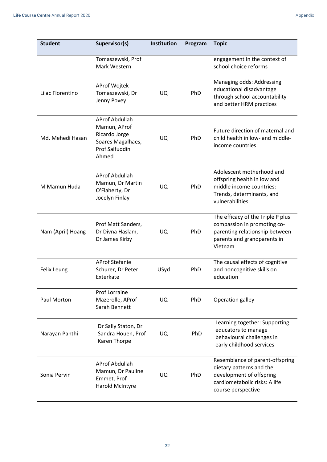| <b>Student</b>    | Supervisor(s)                                                                                                 | Institution | Program    | <b>Topic</b>                                                                                                                                   |
|-------------------|---------------------------------------------------------------------------------------------------------------|-------------|------------|------------------------------------------------------------------------------------------------------------------------------------------------|
|                   | Tomaszewski, Prof<br>Mark Western                                                                             |             |            | engagement in the context of<br>school choice reforms                                                                                          |
| Lilac Florentino  | AProf Wojtek<br>Tomaszewski, Dr<br>Jenny Povey                                                                | UQ.         | PhD        | Managing odds: Addressing<br>educational disadvantage<br>through school accountability<br>and better HRM practices                             |
| Md. Mehedi Hasan  | <b>AProf Abdullah</b><br>Mamun, AProf<br>Ricardo Jorge<br>Soares Magalhaes,<br><b>Prof Saifuddin</b><br>Ahmed | UQ.         | PhD        | Future direction of maternal and<br>child health in low- and middle-<br>income countries                                                       |
| M Mamun Huda      | <b>AProf Abdullah</b><br>Mamun, Dr Martin<br>O'Flaherty, Dr<br>Jocelyn Finlay                                 | <b>UQ</b>   | PhD        | Adolescent motherhood and<br>offspring health in low and<br>middle income countries:<br>Trends, determinants, and<br>vulnerabilities           |
| Nam (April) Hoang | Prof Matt Sanders,<br>Dr Divna Haslam,<br>Dr James Kirby                                                      | UQ.         | PhD        | The efficacy of the Triple P plus<br>compassion in promoting co-<br>parenting relationship between<br>parents and grandparents in<br>Vietnam   |
| Felix Leung       | <b>AProf Stefanie</b><br>Schurer, Dr Peter<br>Exterkate                                                       | USyd        | PhD        | The causal effects of cognitive<br>and noncognitive skills on<br>education                                                                     |
| Paul Morton       | <b>Prof Lorraine</b><br>Mazerolle, AProf<br>Sarah Bennett                                                     | UQ          | <b>PhD</b> | Operation galley                                                                                                                               |
| Narayan Panthi    | Dr Sally Staton, Dr<br>Sandra Houen, Prof<br>Karen Thorpe                                                     | UQ          | PhD        | Learning together: Supporting<br>educators to manage<br>behavioural challenges in<br>early childhood services                                  |
| Sonia Pervin      | <b>AProf Abdullah</b><br>Mamun, Dr Pauline<br>Emmet, Prof<br>Harold McIntyre                                  | UQ          | PhD        | Resemblance of parent-offspring<br>dietary patterns and the<br>development of offspring<br>cardiometabolic risks: A life<br>course perspective |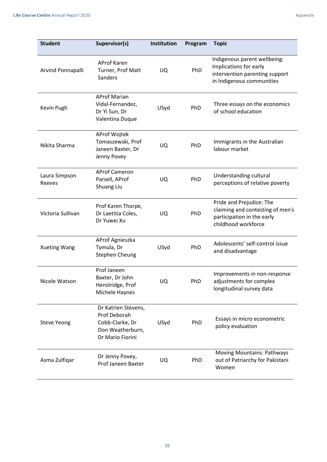| <b>Student</b>          | Supervisor(s)                                                                                  | Institution | Program | <b>Topic</b>                                                                                                          |
|-------------------------|------------------------------------------------------------------------------------------------|-------------|---------|-----------------------------------------------------------------------------------------------------------------------|
| Arvind Ponnapalli       | <b>AProf Karen</b><br>Turner, Prof Matt<br><b>Sanders</b>                                      | UQ          | PhD     | Indigenous parent wellbeing:<br>Implications for early<br>intervention parenting support<br>in Indigenous communities |
| Kevin Pugh              | <b>AProf Marian</b><br>Vidal-Fernandez,<br>Dr Yi Sun, Dr<br>Valentina Duque                    | USyd        | PhD     | Three essays on the economics<br>of school education                                                                  |
| Nikita Sharma           | AProf Wojtek<br>Tomaszewski, Prof<br>Janeen Baxter, Dr<br>Jenny Povey                          | UQ          | PhD     | Immigrants in the Australian<br>labour market                                                                         |
| Laura Simpson<br>Reeves | <b>AProf Cameron</b><br>Parsell, AProf<br>Shuang Liu                                           | UQ          | PhD     | Understanding cultural<br>perceptions of relative poverty                                                             |
| Victoria Sullivan       | Prof Karen Thorpe,<br>Dr Laetitia Coles,<br>Dr Yuwei Xu                                        | <b>UQ</b>   | PhD     | Pride and Prejudice: The<br>claiming and contesting of men's<br>participation in the early<br>childhood workforce     |
| <b>Xueting Wang</b>     | AProf Agnieszka<br>Tymula, Dr<br>Stephen Cheung                                                | USyd        | PhD     | Adolescents' self-control issue<br>and disadvantage                                                                   |
| Nicole Watson           | Prof Janeen<br>Baxter, Dr John<br>Henstridge, Prof<br>Michele Haynes                           | UQ          | PhD     | Improvements in non-response<br>adjustments for complex<br>longitudinal survey data                                   |
| <b>Steve Yeong</b>      | Dr Katrien Stevens,<br>Prof Deborah<br>Cobb-Clarke, Dr<br>Don Weatherburn,<br>Dr Mario Fiorini | USyd        | PhD     | Essays in micro econometric<br>policy evaluation                                                                      |
| Asma Zulfiqar           | Dr Jenny Povey,<br>Prof Janeen Baxter                                                          | UQ          | PhD     | <b>Moving Mountains: Pathways</b><br>out of Patriarchy for Pakistani<br>Women                                         |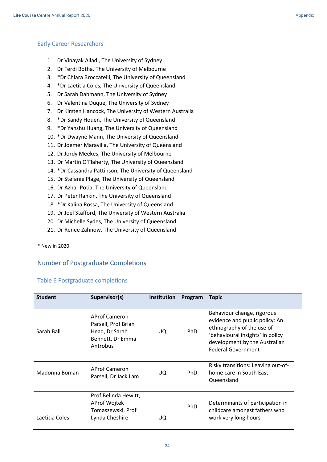#### <span id="page-33-0"></span>Early Career Researchers

- 1. Dr Vinayak Alladi, The University of Sydney
- 2. Dr Ferdi Botha, The University of Melbourne
- 3. \*Dr Chiara Broccatelli, The University of Queensland
- 4. \*Dr Laetitia Coles, The University of Queensland
- 5. Dr Sarah Dahmann, The University of Sydney
- 6. Dr Valentina Duque, The University of Sydney
- 7. Dr Kirsten Hancock, The University of Western Australia
- 8. \*Dr Sandy Houen, The University of Queensland
- 9. \*Dr Yanshu Huang, The University of Queensland
- 10. \*Dr Dwayne Mann, The University of Queensland
- 11. Dr Joemer Maravilla, The University of Queensland
- 12. Dr Jordy Meekes, The University of Melbourne
- 13. Dr Martin O'Flaherty, The University of Queensland
- 14. \*Dr Cassandra Pattinson, The University of Queensland
- 15. Dr Stefanie Plage, The University of Queensland
- 16. Dr Azhar Potia, The University of Queensland
- 17. Dr Peter Rankin, The University of Queensland
- 18. \*Dr Kalina Rossa, The University of Queensland
- 19. Dr Joel Stafford, The University of Western Australia
- 20. Dr Michelle Sydes, The University of Queensland
- 21. Dr Renee Zahnow, The University of Queensland

\* New in 2020

## <span id="page-33-1"></span>Number of Postgraduate Completions

#### <span id="page-33-2"></span>Table 6 Postgraduate completions

| <b>Student</b> | Supervisor(s)                                                                                 | <b>Institution</b> | Program    | <b>Topic</b>                                                                                                                                                                                |
|----------------|-----------------------------------------------------------------------------------------------|--------------------|------------|---------------------------------------------------------------------------------------------------------------------------------------------------------------------------------------------|
| Sarah Ball     | <b>AProf Cameron</b><br>Parsell, Prof Brian<br>Head, Dr Sarah<br>Bennett, Dr Emma<br>Antrobus | UQ.                | PhD        | Behaviour change, rigorous<br>evidence and public policy: An<br>ethnography of the use of<br>'behavioural insights' in policy<br>development by the Australian<br><b>Federal Government</b> |
| Madonna Boman  | <b>AProf Cameron</b><br>Parsell, Dr Jack Lam                                                  | UQ.                | PhD.       | Risky transitions: Leaving out-of-<br>home care in South East<br>Queensland                                                                                                                 |
| Laetitia Coles | Prof Belinda Hewitt,<br>AProf Wojtek<br>Tomaszewski, Prof<br>Lynda Cheshire                   | UQ                 | <b>PhD</b> | Determinants of participation in<br>childcare amongst fathers who<br>work very long hours                                                                                                   |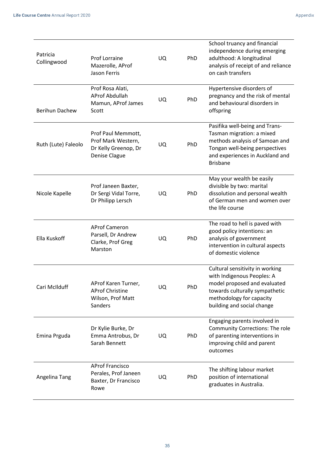| Patricia<br>Collingwood | Prof Lorraine<br>Mazerolle, AProf<br><b>Jason Ferris</b>                          | <b>UQ</b> | PhD | School truancy and financial<br>independence during emerging<br>adulthood: A longitudinal<br>analysis of receipt of and reliance<br>on cash transfers                                     |
|-------------------------|-----------------------------------------------------------------------------------|-----------|-----|-------------------------------------------------------------------------------------------------------------------------------------------------------------------------------------------|
| <b>Berihun Dachew</b>   | Prof Rosa Alati,<br><b>AProf Abdullah</b><br>Mamun, AProf James<br>Scott          | <b>UQ</b> | PhD | Hypertensive disorders of<br>pregnancy and the risk of mental<br>and behavioural disorders in<br>offspring                                                                                |
| Ruth (Lute) Faleolo     | Prof Paul Memmott,<br>Prof Mark Western,<br>Dr Kelly Greenop, Dr<br>Denise Clague | <b>UQ</b> | PhD | Pasifika well-being and Trans-<br>Tasman migration: a mixed<br>methods analysis of Samoan and<br>Tongan well-being perspectives<br>and experiences in Auckland and<br><b>Brisbane</b>     |
| Nicole Kapelle          | Prof Janeen Baxter,<br>Dr Sergi Vidal Torre,<br>Dr Philipp Lersch                 | UQ.       | PhD | May your wealth be easily<br>divisible by two: marital<br>dissolution and personal wealth<br>of German men and women over<br>the life course                                              |
| Ella Kuskoff            | <b>AProf Cameron</b><br>Parsell, Dr Andrew<br>Clarke, Prof Greg<br>Marston        | UQ        | PhD | The road to hell is paved with<br>good policy intentions: an<br>analysis of government<br>intervention in cultural aspects<br>of domestic violence                                        |
| Cari McIlduff           | AProf Karen Turner,<br><b>AProf Christine</b><br>Wilson, Prof Matt<br>Sanders     | UQ        | PhD | Cultural sensitivity in working<br>with Indigenous Peoples: A<br>model proposed and evaluated<br>towards culturally sympathetic<br>methodology for capacity<br>building and social change |
| Emina Prguda            | Dr Kylie Burke, Dr<br>Emma Antrobus, Dr<br>Sarah Bennett                          | UQ        | PhD | Engaging parents involved in<br><b>Community Corrections: The role</b><br>of parenting interventions in<br>improving child and parent<br>outcomes                                         |
| Angelina Tang           | <b>AProf Francisco</b><br>Perales, Prof Janeen<br>Baxter, Dr Francisco<br>Rowe    | UQ        | PhD | The shifting labour market<br>position of international<br>graduates in Australia.                                                                                                        |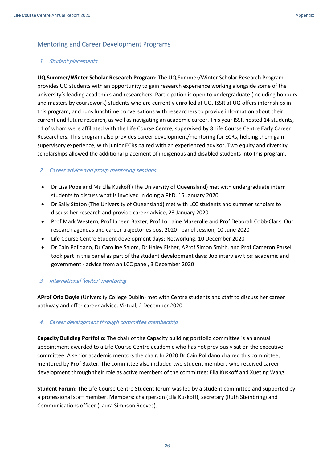## <span id="page-35-0"></span>Mentoring and Career Development Programs

#### 1. Student placements

**UQ Summer/Winter Scholar Research Program:** The UQ Summer/Winter Scholar Research Program provides UQ students with an opportunity to gain research experience working alongside some of the university's leading academics and researchers. Participation is open to undergraduate (including honours and masters by coursework) students who are currently enrolled at UQ. ISSR at UQ offers internships in this program, and runs lunchtime conversations with researchers to provide information about their current and future research, as well as navigating an academic career. This year ISSR hosted 14 students, 11 of whom were affiliated with the Life Course Centre, supervised by 8 Life Course Centre Early Career Researchers. This program also provides career development/mentoring for ECRs, helping them gain supervisory experience, with junior ECRs paired with an experienced advisor. Two equity and diversity scholarships allowed the additional placement of indigenous and disabled students into this program.

## 2. Career advice and group mentoring sessions

- Dr Lisa Pope and Ms Ella Kuskoff (The University of Queensland) met with undergraduate intern students to discuss what is involved in doing a PhD, 15 January 2020
- Dr Sally Staton (The University of Queensland) met with LCC students and summer scholars to discuss her research and provide career advice, 23 January 2020
- Prof Mark Western, Prof Janeen Baxter, Prof Lorraine Mazerolle and Prof Deborah Cobb-Clark: Our research agendas and career trajectories post 2020 - panel session, 10 June 2020
- Life Course Centre Student development days: Networking, 10 December 2020
- Dr Cain Polidano, Dr Caroline Salom, Dr Haley Fisher, AProf Simon Smith, and Prof Cameron Parsell took part in this panel as part of the student development days: Job interview tips: academic and government - advice from an LCC panel, 3 December 2020

#### 3. International 'visitor' mentoring

**AProf Orla Doyle** (University College Dublin) met with Centre students and staff to discuss her career pathway and offer career advice. Virtual, 2 December 2020.

#### 4. Career development through committee membership

**Capacity Building Portfolio**: The chair of the Capacity building portfolio committee is an annual appointment awarded to a Life Course Centre academic who has not previously sat on the executive committee. A senior academic mentors the chair. In 2020 Dr Cain Polidano chaired this committee, mentored by Prof Baxter. The committee also included two student members who received career development through their role as active members of the committee: Ella Kuskoff and Xueting Wang.

**Student Forum:** The Life Course Centre Student forum was led by a student committee and supported by a professional staff member. Members: chairperson (Ella Kuskoff), secretary (Ruth Steinbring) and Communications officer (Laura Simpson Reeves).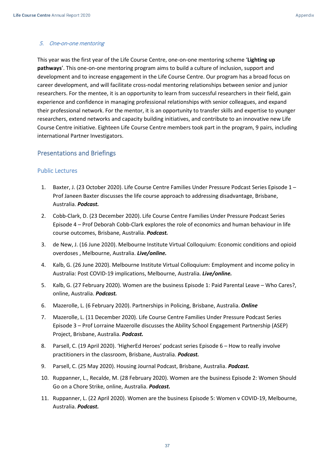#### 5. One-on-one mentoring

This year was the first year of the Life Course Centre, one-on-one mentoring scheme '**Lighting up pathways**'. This one-on-one mentoring program aims to build a culture of inclusion, support and development and to increase engagement in the Life Course Centre. Our program has a broad focus on career development, and will facilitate cross-nodal mentoring relationships between senior and junior researchers. For the mentee, it is an opportunity to learn from successful researchers in their field, gain experience and confidence in managing professional relationships with senior colleagues, and expand their professional network. For the mentor, it is an opportunity to transfer skills and expertise to younger researchers, extend networks and capacity building initiatives, and contribute to an innovative new Life Course Centre initiative. Eighteen Life Course Centre members took part in the program, 9 pairs, including international Partner Investigators.

### <span id="page-36-0"></span>Presentations and Briefings

#### <span id="page-36-1"></span>Public Lectures

- 1. Baxter, J. (23 October 2020). Life Course Centre Families Under Pressure Podcast Series Episode 1 Prof Janeen Baxter discusses the life course approach to addressing disadvantage, Brisbane, Australia. *Podcast.*
- 2. Cobb-Clark, D. (23 December 2020). Life Course Centre Families Under Pressure Podcast Series Episode 4 – Prof Deborah Cobb-Clark explores the role of economics and human behaviour in life course outcomes, Brisbane, Australia. *Podcast.*
- 3. de New, J. (16 June 2020). Melbourne Institute Virtual Colloquium: Economic conditions and opioid overdoses , Melbourne, Australia. *Live/online.*
- 4. Kalb, G. (26 June 2020). Melbourne Institute Virtual Colloquium: Employment and income policy in Australia: Post COVID-19 implications, Melbourne, Australia. *Live/online.*
- 5. Kalb, G. (27 February 2020). Women are the business Episode 1: Paid Parental Leave Who Cares?, online, Australia. *Podcast.*
- 6. Mazerolle, L. (6 February 2020). Partnerships in Policing, Brisbane, Australia. *Online*
- 7. Mazerolle, L. (11 December 2020). Life Course Centre Families Under Pressure Podcast Series Episode 3 – Prof Lorraine Mazerolle discusses the Ability School Engagement Partnership (ASEP) Project, Brisbane, Australia. *Podcast.*
- 8. Parsell, C. (19 April 2020). 'HigherEd Heroes' podcast series Episode 6 How to really involve practitioners in the classroom, Brisbane, Australia. *Podcast.*
- 9. Parsell, C. (25 May 2020). Housing Journal Podcast, Brisbane, Australia. *Podcast.*
- 10. Ruppanner, L., Recalde, M. (28 February 2020). Women are the business Episode 2: Women Should Go on a Chore Strike, online, Australia. *Podcast.*
- 11. Ruppanner, L. (22 April 2020). Women are the business Episode 5: Women v COVID-19, Melbourne, Australia. *Podcast.*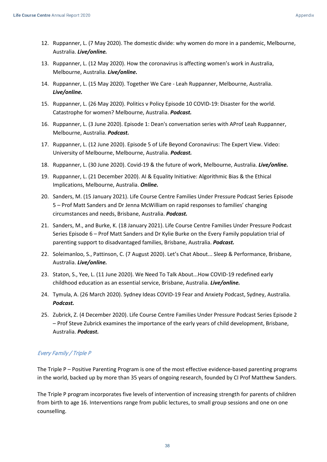- 12. Ruppanner, L. (7 May 2020). The domestic divide: why women do more in a pandemic, Melbourne, Australia. *Live/online.*
- 13. Ruppanner, L. (12 May 2020). How the coronavirus is affecting women's work in Australia, Melbourne, Australia. *Live/online.*
- 14. Ruppanner, L. (15 May 2020). Together We Care Leah Ruppanner, Melbourne, Australia. *Live/online.*
- 15. Ruppanner, L. (26 May 2020). Politics v Policy Episode 10 COVID-19: Disaster for the world. Catastrophe for women? Melbourne, Australia. *Podcast.*
- 16. Ruppanner, L. (3 June 2020). Episode 1: Dean's conversation series with AProf Leah Ruppanner, Melbourne, Australia. *Podcast.*
- 17. Ruppanner, L. (12 June 2020). Episode 5 of Life Beyond Coronavirus: The Expert View. Video: University of Melbourne, Melbourne, Australia. *Podcast.*
- 18. Ruppanner, L. (30 June 2020). Covid-19 & the future of work, Melbourne, Australia. *Live/online.*
- 19. Ruppanner, L. (21 December 2020). AI & Equality Initiative: Algorithmic Bias & the Ethical Implications, Melbourne, Australia. *Online.*
- 20. Sanders, M. (15 January 2021). Life Course Centre Families Under Pressure Podcast Series Episode 5 – Prof Matt Sanders and Dr Jenna McWilliam on rapid responses to families' changing circumstances and needs, Brisbane, Australia. *Podcast.*
- 21. Sanders, M., and Burke, K. (18 January 2021). Life Course Centre Families Under Pressure Podcast Series Episode 6 – Prof Matt Sanders and Dr Kylie Burke on the Every Family population trial of parenting support to disadvantaged families, Brisbane, Australia. *Podcast.*
- 22. Soleimanloo, S., Pattinson, C. (7 August 2020). Let's Chat About... Sleep & Performance, Brisbane, Australia. *Live/online.*
- 23. Staton, S., Yee, L. (11 June 2020). We Need To Talk About...How COVID-19 redefined early childhood education as an essential service, Brisbane, Australia. *Live/online.*
- 24. Tymula, A. (26 March 2020). Sydney Ideas COVID-19 Fear and Anxiety Podcast, Sydney, Australia. *Podcast.*
- 25. Zubrick, Z. (4 December 2020). Life Course Centre Families Under Pressure Podcast Series Episode 2 – Prof Steve Zubrick examines the importance of the early years of child development, Brisbane, Australia. *Podcast.*

## Every Family / Triple P

The Triple P – Positive Parenting Program is one of the most effective evidence-based parenting programs in the world, backed up by more than 35 years of ongoing research, founded by CI Prof Matthew Sanders.

The Triple P program incorporates five levels of intervention of increasing strength for parents of children from birth to age 16. Interventions range from public lectures, to small group sessions and one on one counselling.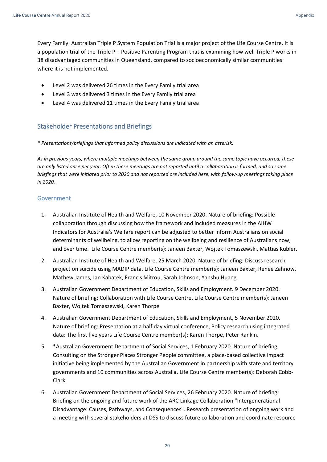Every Family: Australian Triple P System Population Trial is a major project of the Life Course Centre. It is a population trial of the Triple P – Positive Parenting Program that is examining how well Triple P works in 38 disadvantaged communities in Queensland, compared to socioeconomically similar communities where it is not implemented.

- Level 2 was delivered 26 times in the Every Family trial area
- Level 3 was delivered 3 times in the Every Family trial area
- Level 4 was delivered 11 times in the Every Family trial area

## <span id="page-38-0"></span>Stakeholder Presentations and Briefings

*\* Presentations/briefings that informed policy discussions are indicated with an asterisk.* 

*As in previous years, where multiple meetings between the same group around the same topic have occurred, these are only listed once per year. Often these meetings are not reported until a collaboration is formed, and so some briefings that were initiated prior to 2020 and not reported are included here, with follow-up meetings taking place in 2020.*

#### <span id="page-38-1"></span>Government

- 1. Australian Institute of Health and Welfare, 10 November 2020. Nature of briefing: Possible collaboration through discussing how the framework and included measures in the AIHW Indicators for Australia's Welfare report can be adjusted to better inform Australians on social determinants of wellbeing, to allow reporting on the wellbeing and resilience of Australians now, and over time. Life Course Centre member(s): Janeen Baxter, Wojtek Tomaszewski, Mattias Kubler.
- 2. Australian Institute of Health and Welfare, 25 March 2020. Nature of briefing: Discuss research project on suicide using MADIP data. Life Course Centre member(s): Janeen Baxter, Renee Zahnow, Mathew James, Jan Kabatek, Francis Mitrou, Sarah Johnson, Yanshu Huang.
- 3. Australian Government Department of Education, Skills and Employment. 9 December 2020. Nature of briefing: Collaboration with Life Course Centre. Life Course Centre member(s): Janeen Baxter, Wojtek Tomaszewski, Karen Thorpe
- 4. Australian Government Department of Education, Skills and Employment, 5 November 2020. Nature of briefing: Presentation at a half day virtual conference, Policy research using integrated data: The first five years Life Course Centre member(s): Karen Thorpe, Peter Rankin.
- 5. \*Australian Government Department of Social Services, 1 February 2020. Nature of briefing: Consulting on the Stronger Places Stronger People committee, a place-based collective impact initiative being implemented by the Australian Government in partnership with state and territory governments and 10 communities across Australia. Life Course Centre member(s): Deborah Cobb-Clark.
- 6. Australian Government Department of Social Services, 26 February 2020. Nature of briefing: Briefing on the ongoing and future work of the ARC Linkage Collaboration "Intergenerational Disadvantage: Causes, Pathways, and Consequences". Research presentation of ongoing work and a meeting with several stakeholders at DSS to discuss future collaboration and coordinate resource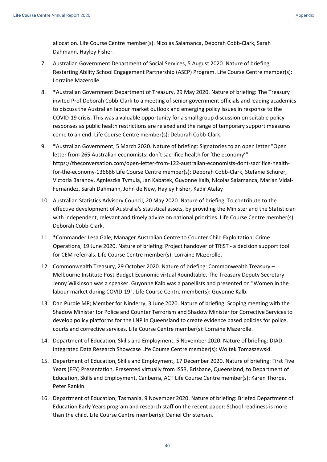allocation. Life Course Centre member(s): Nicolas Salamanca, Deborah Cobb-Clark, Sarah Dahmann, Hayley Fisher.

- 7. Australian Government Department of Social Services, 5 August 2020. Nature of briefing: Restarting Ability School Engagement Partnership (ASEP) Program. Life Course Centre member(s): Lorraine Mazerolle.
- 8. \*Australian Government Department of Treasury, 29 May 2020. Nature of briefing: The Treasury invited Prof Deborah Cobb-Clark to a meeting of senior government officials and leading academics to discuss the Australian labour market outlook and emerging policy issues in response to the COVID-19 crisis. This was a valuable opportunity for a small group discussion on suitable policy responses as public health restrictions are relaxed and the range of temporary support measures come to an end. Life Course Centre member(s): Deborah Cobb-Clark.
- 9. \*Australian Government, 5 March 2020. Nature of briefing: Signatories to an open letter "Open letter from 265 Australian economists: don't sacrifice health for 'the economy'" https://theconversation.com/open-letter-from-122-australian-economists-dont-sacrifice-healthfor-the-economy-136686 Life Course Centre member(s): Deborah Cobb-Clark, Stefanie Schurer, Victoria Baranov, Agnieszka Tymula, Jan Kabatek, Guyonne Kalb, Nicolas Salamanca, Marian Vidal-Fernandez, Sarah Dahmann, John de New, Hayley Fisher, Kadir Atalay
- 10. Australian Statistics Advisory Council, 20 May 2020. Nature of briefing: To contribute to the effective development of Australia's statistical assets, by providing the Minister and the Statistician with independent, relevant and timely advice on national priorities. Life Course Centre member(s): Deborah Cobb-Clark.
- 11. \*Commander Lesa Gale; Manager Australian Centre to Counter Child Exploitation; Crime Operations, 19 June 2020. Nature of briefing: Project handover of TRIST - a decision support tool for CEM referrals. Life Course Centre member(s): Lorraine Mazerolle.
- 12. Commonwealth Treasury, 29 October 2020. Nature of briefing: Commonwealth Treasury Melbourne Institute Post-Budget Economic virtual Roundtable. The Treasury Deputy Secretary Jenny Wilkinson was a speaker. Guyonne Kalb was a panellists and presented on "Women in the labour market during COVID-19". Life Course Centre member(s): Guyonne Kalb.
- 13. Dan Purdie MP; Member for Ninderry, 3 June 2020. Nature of briefing: Scoping meeting with the Shadow Minister for Police and Counter Terrorism and Shadow Minister for Corrective Services to develop policy platforms for the LNP in Queensland to create evidence based policies for police, courts and corrective services. Life Course Centre member(s): Lorraine Mazerolle.
- 14. Department of Education, Skills and Employment, 5 November 2020. Nature of briefing: DIAD: Integrated Data Research Showcase Life Course Centre member(s): Wojtek Tomaszewski.
- 15. Department of Education, Skills and Employment, 17 December 2020. Nature of briefing: First Five Years (FFY) Presentation. Presented virtually from ISSR, Brisbane, Queensland, to Department of Education, Skills and Employment, Canberra, ACT Life Course Centre member(s): Karen Thorpe, Peter Rankin.
- 16. Department of Education; Tasmania, 9 November 2020. Nature of briefing: Briefed Department of Education Early Years program and research staff on the recent paper: School readiness is more than the child. Life Course Centre member(s): Daniel Christensen.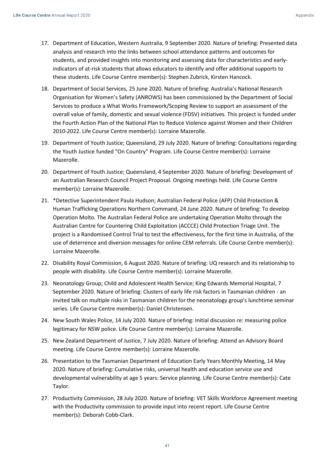- 17. Department of Education, Western Australia, 9 September 2020. Nature of briefing: Presented data analysis and research into the links between school attendance patterns and outcomes for students, and provided insights into monitoring and assessing data for characteristics and earlyindicators of at-risk students that allows educators to identify and offer additional supports to these students. Life Course Centre member(s): Stephen Zubrick, Kirsten Hancock.
- 18. Department of Social Services, 25 June 2020. Nature of briefing: Australia's National Research Organisation for Women's Safety (ANROWS) has been commissioned by the Department of Social Services to produce a What Works Framework/Scoping Review to support an assessment of the overall value of family, domestic and sexual violence (FDSV) initiatives. This project is funded under the Fourth Action Plan of the National Plan to Reduce Violence against Women and their Children 2010-2022. Life Course Centre member(s): Lorraine Mazerolle.
- 19. Department of Youth Justice; Queensland, 29 July 2020. Nature of briefing: Consultations regarding the Youth Justice funded "On Country" Program. Life Course Centre member(s): Lorraine Mazerolle.
- 20. Department of Youth Justice; Queensland, 4 September 2020. Nature of briefing: Development of an Australian Research Council Project Proposal. Ongoing meetings held. Life Course Centre member(s): Lorraine Mazerolle.
- 21. \*Detective Superintendent Paula Hudson; Australian Federal Police (AFP) Child Protection & Human Trafficking Operations Northern Command, 24 June 2020. Nature of briefing: To develop Operation Molto. The Australian Federal Police are undertaking Operation Molto through the Australian Centre for Countering Child Exploitation (ACCCE) Child Protection Triage Unit. The project is a Randomised Control Trial to test the effectiveness, for the first time in Australia, of the use of deterrence and diversion messages for online CEM referrals. Life Course Centre member(s): Lorraine Mazerolle.
- 22. Disability Royal Commission, 6 August 2020. Nature of briefing: UQ research and its relationship to people with disability. Life Course Centre member(s): Lorraine Mazerolle.
- 23. Neonatology Group; Child and Adolescent Health Service; King Edwards Memorial Hospital, 7 September 2020. Nature of briefing: Clusters of early life risk factors in Tasmanian children - an invited talk on multiple risks in Tasmanian children for the neonatology group's lunchtime seminar series. Life Course Centre member(s): Daniel Christensen.
- 24. New South Wales Police, 14 July 2020. Nature of briefing: Initial discussion re: measuring police legitimacy for NSW police. Life Course Centre member(s): Lorraine Mazerolle.
- 25. New Zealand Department of Justice, 7 July 2020. Nature of briefing: Attend an Advisory Board meeting. Life Course Centre member(s): Lorraine Mazerolle.
- 26. Presentation to the Tasmanian Department of Education Early Years Monthly Meeting, 14 May 2020. Nature of briefing: Cumulative risks, universal health and education service use and developmental vulnerability at age 5 years: Service planning. Life Course Centre member(s): Cate Taylor.
- 27. Productivity Commission, 28 July 2020. Nature of briefing: VET Skills Workforce Agreement meeting with the Productivity commission to provide input into recent report. Life Course Centre member(s): Deborah Cobb-Clark.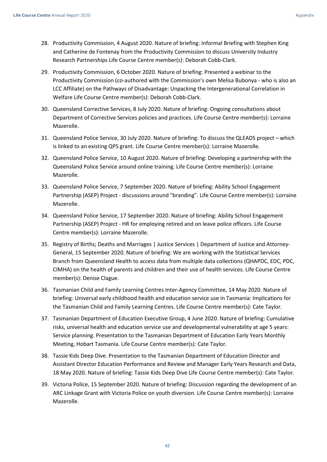- 28. Productivity Commission, 4 August 2020. Nature of briefing: Informal Briefing with Stephen King and Catherine de Fontenay from the Productivity Commission to discuss University Industry Research Partnerships Life Course Centre member(s): Deborah Cobb-Clark.
- 29. Productivity Commission, 6 October 2020. Nature of briefing: Presented a webinar to the Productivity Commission (co-authored with the Commission's own Melisa Bubonya - who is also an LCC Affiliate) on the Pathways of Disadvantage: Unpacking the Intergenerational Correlation in Welfare Life Course Centre member(s): Deborah Cobb-Clark.
- 30. Queensland Corrective Services, 8 July 2020. Nature of briefing: Ongoing consultations about Department of Corrective Services policies and practices. Life Course Centre member(s): Lorraine Mazerolle.
- 31. Queensland Police Service, 30 July 2020. Nature of briefing: To discuss the QLEADS project which is linked to an existing QPS grant. Life Course Centre member(s): Lorraine Mazerolle.
- 32. Queensland Police Service, 10 August 2020. Nature of briefing: Developing a partnership with the Queensland Police Service around online training. Life Course Centre member(s): Lorraine Mazerolle.
- 33. Queensland Police Service, 7 September 2020. Nature of briefing: Ability School Engagement Partnership (ASEP) Project - discussions around "branding". Life Course Centre member(s): Lorraine Mazerolle.
- 34. Queensland Police Service, 17 September 2020. Nature of briefing: Ability School Engagement Partnership (ASEP) Project - HR for employing retired and on leave police officers. Life Course Centre member(s): Lorraine Mazerolle.
- 35. Registry of Births; Deaths and Marriages | Justice Services | Department of Justice and Attorney-General, 15 September 2020. Nature of briefing: We are working with the Statistical Services Branch from Queensland Health to access data from multiple data collections (QHAPDC, EDC, PDC, CIMHA) on the health of parents and children and their use of health services. Life Course Centre member(s): Denise Clague.
- 36. Tasmanian Child and Family Learning Centres Inter-Agency Committee, 14 May 2020. Nature of briefing: Universal early childhood health and education service use in Tasmania: Implications for the Tasmanian Child and Family Learning Centres. Life Course Centre member(s): Cate Taylor.
- 37. Tasmanian Department of Education Executive Group, 4 June 2020. Nature of briefing: Cumulative risks, universal health and education service use and developmental vulnerability at age 5 years: Service planning. Presentation to the Tasmanian Department of Education Early Years Monthly Meeting, Hobart Tasmania. Life Course Centre member(s): Cate Taylor.
- 38. Tassie Kids Deep Dive. Presentation to the Tasmanian Department of Education Director and Assistant Director Education Performance and Review and Manager Early Years Research and Data, 18 May 2020. Nature of briefing: Tassie Kids Deep Dive Life Course Centre member(s): Cate Taylor.
- 39. Victoria Police, 15 September 2020. Nature of briefing: Discussion regarding the development of an ARC Linkage Grant with Victoria Police on youth diversion. Life Course Centre member(s): Lorraine Mazerolle.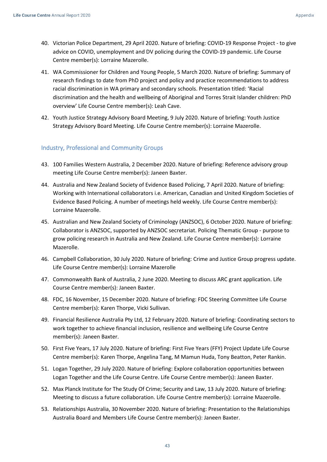- 40. Victorian Police Department, 29 April 2020. Nature of briefing: COVID-19 Response Project to give advice on COVID, unemployment and DV policing during the COVID-19 pandemic. Life Course Centre member(s): Lorraine Mazerolle.
- 41. WA Commissioner for Children and Young People, 5 March 2020. Nature of briefing: Summary of research findings to date from PhD project and policy and practice recommendations to address racial discrimination in WA primary and secondary schools. Presentation titled: 'Racial discrimination and the health and wellbeing of Aboriginal and Torres Strait Islander children: PhD overview' Life Course Centre member(s): Leah Cave.
- 42. Youth Justice Strategy Advisory Board Meeting, 9 July 2020. Nature of briefing: Youth Justice Strategy Advisory Board Meeting. Life Course Centre member(s): Lorraine Mazerolle.

### <span id="page-42-0"></span>Industry, Professional and Community Groups

- 43. 100 Families Western Australia, 2 December 2020. Nature of briefing: Reference advisory group meeting Life Course Centre member(s): Janeen Baxter.
- 44. Australia and New Zealand Society of Evidence Based Policing, 7 April 2020. Nature of briefing: Working with International collaborators i.e. American, Canadian and United Kingdom Societies of Evidence Based Policing. A number of meetings held weekly. Life Course Centre member(s): Lorraine Mazerolle.
- 45. Australian and New Zealand Society of Criminology (ANZSOC), 6 October 2020. Nature of briefing: Collaborator is ANZSOC, supported by ANZSOC secretariat. Policing Thematic Group - purpose to grow policing research in Australia and New Zealand. Life Course Centre member(s): Lorraine Mazerolle.
- 46. Campbell Collaboration, 30 July 2020. Nature of briefing: Crime and Justice Group progress update. Life Course Centre member(s): Lorraine Mazerolle
- 47. Commonwealth Bank of Australia, 2 June 2020. Meeting to discuss ARC grant application. Life Course Centre member(s): Janeen Baxter.
- 48. FDC, 16 November, 15 December 2020. Nature of briefing: FDC Steering Committee Life Course Centre member(s): Karen Thorpe, Vicki Sullivan.
- 49. Financial Resilience Australia Pty Ltd, 12 February 2020. Nature of briefing: Coordinating sectors to work together to achieve financial inclusion, resilience and wellbeing Life Course Centre member(s): Janeen Baxter.
- 50. First Five Years, 17 July 2020. Nature of briefing: First Five Years (FFY) Project Update Life Course Centre member(s): Karen Thorpe, Angelina Tang, M Mamun Huda, Tony Beatton, Peter Rankin.
- 51. Logan Together, 29 July 2020. Nature of briefing: Explore collaboration opportunities between Logan Together and the Life Course Centre. Life Course Centre member(s): Janeen Baxter.
- 52. Max Planck Institute for The Study Of Crime; Security and Law, 13 July 2020. Nature of briefing: Meeting to discuss a future collaboration. Life Course Centre member(s): Lorraine Mazerolle.
- 53. Relationships Australia, 30 November 2020. Nature of briefing: Presentation to the Relationships Australia Board and Members Life Course Centre member(s): Janeen Baxter.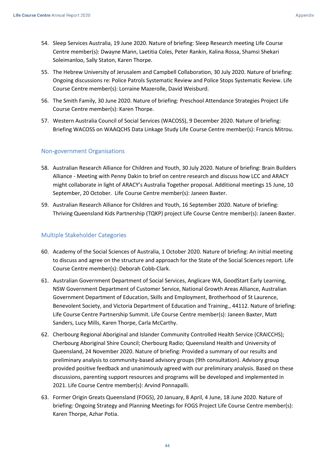- 54. Sleep Services Australia, 19 June 2020. Nature of briefing: Sleep Research meeting Life Course Centre member(s): Dwayne Mann, Laetitia Coles, Peter Rankin, Kalina Rossa, Shamsi Shekari Soleimanloo, Sally Staton, Karen Thorpe.
- 55. The Hebrew University of Jerusalem and Campbell Collaboration, 30 July 2020. Nature of briefing: Ongoing discussions re: Police Patrols Systematic Review and Police Stops Systematic Review. Life Course Centre member(s): Lorraine Mazerolle, David Weisburd.
- 56. The Smith Family, 30 June 2020. Nature of briefing: Preschool Attendance Strategies Project Life Course Centre member(s): Karen Thorpe.
- 57. Western Australia Council of Social Services (WACOSS), 9 December 2020. Nature of briefing: Briefing WACOSS on WAAQCHS Data Linkage Study Life Course Centre member(s): Francis Mitrou.

### <span id="page-43-0"></span>Non-government Organisations

- 58. Australian Research Alliance for Children and Youth, 30 July 2020. Nature of briefing: Brain Builders Alliance - Meeting with Penny Dakin to brief on centre research and discuss how LCC and ARACY might collaborate in light of ARACY's Australia Together proposal. Additional meetings 15 June, 10 September, 20 October. Life Course Centre member(s): Janeen Baxter.
- 59. Australian Research Alliance for Children and Youth, 16 September 2020. Nature of briefing: Thriving Queensland Kids Partnership (TQKP) project Life Course Centre member(s): Janeen Baxter.

## <span id="page-43-1"></span>Multiple Stakeholder Categories

- 60. Academy of the Social Sciences of Australia, 1 October 2020. Nature of briefing: An initial meeting to discuss and agree on the structure and approach for the State of the Social Sciences report. Life Course Centre member(s): Deborah Cobb-Clark.
- 61. Australian Government Department of Social Services, Anglicare WA, GoodStart Early Learning, NSW Government Department of Customer Service, National Growth Areas Alliance, Australian Government Department of Education, Skills and Employment, Brotherhood of St Laurence, Benevolent Society, and Victoria Department of Education and Training., 44112. Nature of briefing: Life Course Centre Partnership Summit. Life Course Centre member(s): Janeen Baxter, Matt Sanders, Lucy Mills, Karen Thorpe, Carla McCarthy.
- 62. Cherbourg Regional Aboriginal and Islander Community Controlled Health Service (CRAICCHS); Cherbourg Aboriginal Shire Council; Cherbourg Radio; Queensland Health and University of Queensland, 24 November 2020. Nature of briefing: Provided a summary of our results and preliminary analysis to community-based advisory groups (9th consultation). Advisory group provided positive feedback and unanimously agreed with our preliminary analysis. Based on these discussions, parenting support resources and programs will be developed and implemented in 2021. Life Course Centre member(s): Arvind Ponnapalli.
- 63. Former Origin Greats Queensland (FOGS), 20 January, 8 April, 4 June, 18 June 2020. Nature of briefing: Ongoing Strategy and Planning Meetings for FOGS Project Life Course Centre member(s): Karen Thorpe, Azhar Potia.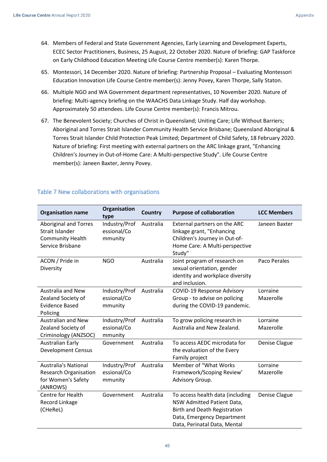- 64. Members of Federal and State Government Agencies, Early Learning and Development Experts, ECEC Sector Practitioners, Business, 25 August, 22 October 2020. Nature of briefing: GAP Taskforce on Early Childhood Education Meeting Life Course Centre member(s): Karen Thorpe.
- 65. Montessori, 14 December 2020. Nature of briefing: Partnership Proposal Evaluating Montessori Education Innovation Life Course Centre member(s): Jenny Povey, Karen Thorpe, Sally Staton.
- 66. Multiple NGO and WA Government department representatives, 10 November 2020. Nature of briefing: Multi-agency briefing on the WAACHS Data Linkage Study. Half day workshop. Approximately 50 attendees. Life Course Centre member(s): Francis Mitrou.
- 67. The Benevolent Society; Churches of Christ in Queensland; Uniting Care; Life Without Barriers; Aboriginal and Torres Strait Islander Community Health Service Brisbane; Queensland Aboriginal & Torres Strait Islander Child Protection Peak Limited; Department of Child Safety, 18 February 2020. Nature of briefing: First meeting with external partners on the ARC linkage grant, "Enhancing Children's Journey in Out-of-Home Care: A Multi-perspective Study". Life Course Centre member(s): Janeen Baxter, Jenny Povey.

| <b>Organisation name</b>                                                                       | Organisation<br>type                    | Country   | <b>Purpose of collaboration</b>                                                                                                                                     | <b>LCC Members</b>    |
|------------------------------------------------------------------------------------------------|-----------------------------------------|-----------|---------------------------------------------------------------------------------------------------------------------------------------------------------------------|-----------------------|
| <b>Aboriginal and Torres</b><br>Strait Islander<br><b>Community Health</b><br>Service Brisbane | Industry/Prof<br>essional/Co<br>mmunity | Australia | External partners on the ARC<br>linkage grant, "Enhancing<br>Children's Journey in Out-of-<br>Home Care: A Multi-perspective<br>Study"                              | Janeen Baxter         |
| ACON / Pride in<br>Diversity                                                                   | <b>NGO</b>                              | Australia | Joint program of research on<br>sexual orientation, gender<br>identity and workplace diversity<br>and inclusion.                                                    | Paco Perales          |
| <b>Australia and New</b><br>Zealand Society of<br><b>Evidence Based</b><br>Policing            | Industry/Prof<br>essional/Co<br>mmunity | Australia | COVID-19 Response Advisory<br>Group - to advise on policing<br>during the COVID-19 pandemic.                                                                        | Lorraine<br>Mazerolle |
| <b>Australian and New</b><br>Zealand Society of<br>Criminology (ANZSOC)                        | Industry/Prof<br>essional/Co<br>mmunity | Australia | To grow policing research in<br>Australia and New Zealand.                                                                                                          | Lorraine<br>Mazerolle |
| <b>Australian Early</b><br><b>Development Census</b>                                           | Government                              | Australia | To access AEDC microdata for<br>the evaluation of the Every<br>Family project                                                                                       | Denise Clague         |
| <b>Australia's National</b><br><b>Research Organisation</b><br>for Women's Safety<br>(ANROWS)  | Industry/Prof<br>essional/Co<br>mmunity | Australia | Member of "What Works<br>Framework/Scoping Review'<br>Advisory Group.                                                                                               | Lorraine<br>Mazerolle |
| Centre for Health<br>Record Linkage<br>(CHeReL)                                                | Government                              | Australia | To access health data (including<br>NSW Admitted Patient Data,<br><b>Birth and Death Registration</b><br>Data, Emergency Department<br>Data, Perinatal Data, Mental | Denise Clague         |

## <span id="page-44-0"></span>Table 7 New collaborations with organisations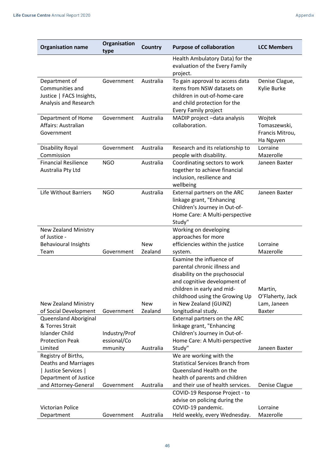| <b>Organisation name</b>                                                              | Organisation<br>type | <b>Country</b> | <b>Purpose of collaboration</b>                                                                                                                                                            | <b>LCC Members</b>                                     |
|---------------------------------------------------------------------------------------|----------------------|----------------|--------------------------------------------------------------------------------------------------------------------------------------------------------------------------------------------|--------------------------------------------------------|
|                                                                                       |                      |                | Health Ambulatory Data) for the<br>evaluation of the Every Family<br>project.                                                                                                              |                                                        |
| Department of<br>Communities and<br>Justice   FACS Insights,<br>Analysis and Research | Government           | Australia      | To gain approval to access data<br>items from NSW datasets on<br>children in out-of-home-care<br>and child protection for the<br><b>Every Family project</b>                               | Denise Clague,<br>Kylie Burke                          |
| Department of Home<br>Affairs: Australian<br>Government                               | Government           | Australia      | MADIP project -data analysis<br>collaboration.                                                                                                                                             | Wojtek<br>Tomaszewski,<br>Francis Mitrou,<br>Ha Nguyen |
| Disability Royal<br>Commission                                                        | Government           | Australia      | Research and its relationship to<br>people with disability.                                                                                                                                | Lorraine<br>Mazerolle                                  |
| <b>Financial Resilience</b><br>Australia Pty Ltd                                      | <b>NGO</b>           | Australia      | Coordinating sectors to work<br>together to achieve financial<br>inclusion, resilience and<br>wellbeing                                                                                    | Janeen Baxter                                          |
| <b>Life Without Barriers</b>                                                          | <b>NGO</b>           | Australia      | External partners on the ARC<br>linkage grant, "Enhancing<br>Children's Journey in Out-of-<br>Home Care: A Multi-perspective<br>Study"                                                     | Janeen Baxter                                          |
| New Zealand Ministry<br>of Justice -                                                  |                      |                | Working on developing<br>approaches for more                                                                                                                                               |                                                        |
| <b>Behavioural Insights</b>                                                           |                      | <b>New</b>     | efficiencies within the justice                                                                                                                                                            | Lorraine                                               |
| Team                                                                                  | Government           | Zealand        | system.                                                                                                                                                                                    | Mazerolle                                              |
|                                                                                       |                      |                | Examine the influence of<br>parental chronic illness and<br>disability on the psychosocial<br>and cognitive development of<br>children in early and mid-<br>childhood using the Growing Up | Martin,<br>O'Flaherty, Jack                            |
| <b>New Zealand Ministry</b>                                                           |                      | <b>New</b>     | in New Zealand (GUINZ)                                                                                                                                                                     | Lam, Janeen                                            |
| of Social Development                                                                 | Government           | Zealand        | longitudinal study.                                                                                                                                                                        | <b>Baxter</b>                                          |
| Queensland Aboriginal<br>& Torres Strait                                              |                      |                | External partners on the ARC<br>linkage grant, "Enhancing                                                                                                                                  |                                                        |
| <b>Islander Child</b>                                                                 | Industry/Prof        |                | Children's Journey in Out-of-                                                                                                                                                              |                                                        |
| <b>Protection Peak</b>                                                                | essional/Co          |                | Home Care: A Multi-perspective                                                                                                                                                             |                                                        |
| Limited                                                                               | mmunity              | Australia      | Study"                                                                                                                                                                                     | Janeen Baxter                                          |
| Registry of Births,<br>Deaths and Marriages<br>  Justice Services                     |                      |                | We are working with the<br><b>Statistical Services Branch from</b><br>Queensland Health on the                                                                                             |                                                        |
| Department of Justice<br>and Attorney-General                                         | Government           | Australia      | health of parents and children<br>and their use of health services.                                                                                                                        | Denise Clague                                          |
|                                                                                       |                      |                | COVID-19 Response Project - to<br>advise on policing during the                                                                                                                            |                                                        |
| Victorian Police<br>Department                                                        | Government           | Australia      | COVID-19 pandemic.<br>Held weekly, every Wednesday.                                                                                                                                        | Lorraine<br>Mazerolle                                  |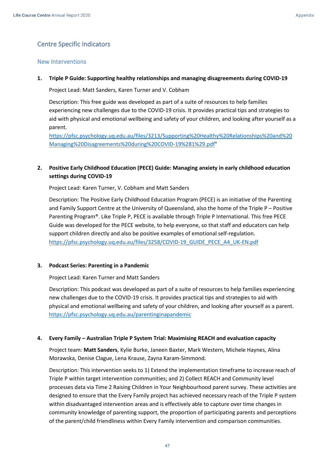## <span id="page-46-0"></span>Centre Specific Indicators

#### <span id="page-46-1"></span>New Interventions

#### **1. Triple P Guide: Supporting healthy relationships and managing disagreements during COVID-19**

Project Lead: Matt Sanders, Karen Turner and V. Cobham

Description: This free guide was developed as part of a suite of resources to help families experiencing new challenges due to the COVID-19 crisis. It provides practical tips and strategies to aid with physical and emotional wellbeing and safety of your children, and looking after yourself as a parent.

[https://pfsc.psychology.uq.edu.au/files/3213/Supporting%20Healthy%20Relationships%20and%20](https://pfsc.psychology.uq.edu.au/files/3213/Supporting%20Healthy%20Relationships%20and%20Managing%20Disagreements%20during%20COVID-19%281%29.pdf) [Managing%20Disagreements%20during%20COVID-19%281%29.pdf"](https://pfsc.psychology.uq.edu.au/files/3213/Supporting%20Healthy%20Relationships%20and%20Managing%20Disagreements%20during%20COVID-19%281%29.pdf)

## **2. Positive Early Childhood Education (PECE) Guide: Managing anxiety in early childhood education settings during COVID-19**

Project Lead: Karen Turner, V. Cobham and Matt Sanders

Description: The Positive Early Childhood Education Program (PECE) is an initiative of the Parenting and Family Support Centre at the University of Queensland, also the home of the Triple P – Positive Parenting Program®. Like Triple P, PECE is available through Triple P International. This free PECE Guide was developed for the PECE website, to help everyone, so that staff and educators can help support children directly and also be positive examples of emotional self-regulation. [https://pfsc.psychology.uq.edu.au/files/3258/COVID-19\\_GUIDE\\_PECE\\_A4\\_UK-EN.pdf](https://pfsc.psychology.uq.edu.au/files/3258/COVID-19_GUIDE_PECE_A4_UK-EN.pdf)

#### **3. Podcast Series: Parenting in a Pandemic**

Project Lead: Karen Turner and Matt Sanders

Description: This podcast was developed as part of a suite of resources to help families experiencing new challenges due to the COVID-19 crisis. It provides practical tips and strategies to aid with physical and emotional wellbeing and safety of your children, and looking after yourself as a parent. <https://pfsc.psychology.uq.edu.au/parentinginapandemic>

#### **4. Every Family – Australian Triple P System Trial: Maximising REACH and evaluation capacity**

Project team: **Matt Sanders**, Kylie Burke, Janeen Baxter, Mark Western, Michele Haynes, Alina Morawska, Denise Clague, Lena Krause, Zayna Karam-Simmond.

Description: This intervention seeks to 1) Extend the implementation timeframe to increase reach of Triple P within target intervention communities; and 2) Collect REACH and Community level processes data via Time 2 Raising Children in Your Neighbourhood parent survey. These activities are designed to ensure that the Every Family project has achieved necessary reach of the Triple P system within disadvantaged intervention areas and is effectively able to capture over time changes in community knowledge of parenting support, the proportion of participating parents and perceptions of the parent/child friendliness within Every Family intervention and comparison communities.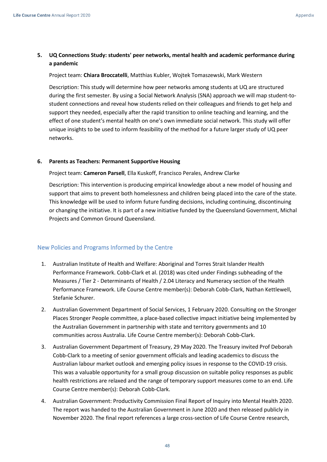## **5. UQ Connections Study: students' peer networks, mental health and academic performance during a pandemic**

Project team: **Chiara Broccatelli**, Matthias Kubler, Wojtek Tomaszewski, Mark Western

Description: This study will determine how peer networks among students at UQ are structured during the first semester. By using a Social Network Analysis (SNA) approach we will map student-tostudent connections and reveal how students relied on their colleagues and friends to get help and support they needed, especially after the rapid transition to online teaching and learning, and the effect of one student's mental health on one's own immediate social network. This study will offer unique insights to be used to inform feasibility of the method for a future larger study of UQ peer networks.

#### **6. Parents as Teachers: Permanent Supportive Housing**

Project team: **Cameron Parsell**, Ella Kuskoff, Francisco Perales, Andrew Clarke

Description: This intervention is producing empirical knowledge about a new model of housing and support that aims to prevent both homelessness and children being placed into the care of the state. This knowledge will be used to inform future funding decisions, including continuing, discontinuing or changing the initiative. It is part of a new initiative funded by the Queensland Government, Michal Projects and Common Ground Queensland.

## <span id="page-47-0"></span>New Policies and Programs Informed by the Centre

- 1. Australian Institute of Health and Welfare: Aboriginal and Torres Strait Islander Health Performance Framework. Cobb-Clark et al. (2018) was cited under Findings subheading of the Measures / Tier 2 - Determinants of Health / 2.04 Literacy and Numeracy section of the Health Performance Framework. Life Course Centre member(s): Deborah Cobb-Clark, Nathan Kettlewell, Stefanie Schurer.
- 2. Australian Government Department of Social Services, 1 February 2020. Consulting on the Stronger Places Stronger People committee, a place-based collective impact initiative being implemented by the Australian Government in partnership with state and territory governments and 10 communities across Australia. Life Course Centre member(s): Deborah Cobb-Clark.
- 3. Australian Government Department of Treasury, 29 May 2020. The Treasury invited Prof Deborah Cobb-Clark to a meeting of senior government officials and leading academics to discuss the Australian labour market outlook and emerging policy issues in response to the COVID-19 crisis. This was a valuable opportunity for a small group discussion on suitable policy responses as public health restrictions are relaxed and the range of temporary support measures come to an end. Life Course Centre member(s): Deborah Cobb-Clark.
- 4. Australian Government: Productivity Commission Final Report of Inquiry into Mental Health 2020. The report was handed to the Australian Government in June 2020 and then released publicly in November 2020. The final report references a large cross-section of Life Course Centre research,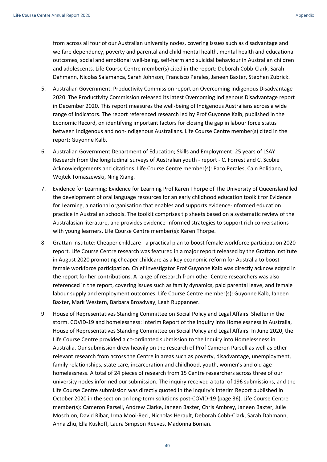from across all four of our Australian university nodes, covering issues such as disadvantage and welfare dependency, poverty and parental and child mental health, mental health and educational outcomes, social and emotional well-being, self-harm and suicidal behaviour in Australian children and adolescents. Life Course Centre member(s) cited in the report: Deborah Cobb-Clark, Sarah Dahmann, Nicolas Salamanca, Sarah Johnson, Francisco Perales, Janeen Baxter, Stephen Zubrick.

- 5. Australian Government: Productivity Commission report on Overcoming Indigenous Disadvantage 2020. The Productivity Commission released its latest Overcoming Indigenous Disadvantage report in December 2020. This report measures the well-being of Indigenous Australians across a wide range of indicators. The report referenced research led by Prof Guyonne Kalb, published in the Economic Record, on identifying important factors for closing the gap in labour force status between Indigenous and non-Indigenous Australians. Life Course Centre member(s) cited in the report: Guyonne Kalb.
- 6. Australian Government Department of Education; Skills and Employment: 25 years of LSAY Research from the longitudinal surveys of Australian youth - report - C. Forrest and C. Scobie Acknowledgements and citations. Life Course Centre member(s): Paco Perales, Cain Polidano, Wojtek Tomaszewski, Ning Xiang.
- 7. Evidence for Learning: Evidence for Learning Prof Karen Thorpe of The University of Queensland led the development of oral language resources for an early childhood education toolkit for Evidence for Learning, a national organisation that enables and supports evidence-informed education practice in Australian schools. The toolkit comprises tip sheets based on a systematic review of the Australasian literature, and provides evidence-informed strategies to support rich conversations with young learners. Life Course Centre member(s): Karen Thorpe.
- 8. Grattan Institute: Cheaper childcare a practical plan to boost female workforce participation 2020 report. Life Course Centre research was featured in a major report released by the Grattan Institute in August 2020 promoting cheaper childcare as a key economic reform for Australia to boost female workforce participation. Chief Investigator Prof Guyonne Kalb was directly acknowledged in the report for her contributions. A range of research from other Centre researchers was also referenced in the report, covering issues such as family dynamics, paid parental leave, and female labour supply and employment outcomes. Life Course Centre member(s): Guyonne Kalb, Janeen Baxter, Mark Western, Barbara Broadway, Leah Ruppanner.
- 9. House of Representatives Standing Committee on Social Policy and Legal Affairs. Shelter in the storm. COVID-19 and homelessness: Interim Report of the Inquiry into Homelessness in Australia, House of Representatives Standing Committee on Social Policy and Legal Affairs. In June 2020, the Life Course Centre provided a co-ordinated submission to the Inquiry into Homelessness in Australia. Our submission drew heavily on the research of Prof Cameron Parsell as well as other relevant research from across the Centre in areas such as poverty, disadvantage, unemployment, family relationships, state care, incarceration and childhood, youth, women's and old age homelessness. A total of 24 pieces of research from 15 Centre researchers across three of our university nodes informed our submission. The inquiry received a total of 196 submissions, and the Life Course Centre submission was directly quoted in the inquiry's Interim Report published in October 2020 in the section on long-term solutions post-COVID-19 (page 36). Life Course Centre member(s): Cameron Parsell, Andrew Clarke, Janeen Baxter, Chris Ambrey, Janeen Baxter, Julie Moschion, David Ribar, Irma Mooi-Reci, Nicholas Herault, Deborah Cobb-Clark, Sarah Dahmann, Anna Zhu, Ella Kuskoff, Laura Simpson Reeves, Madonna Boman.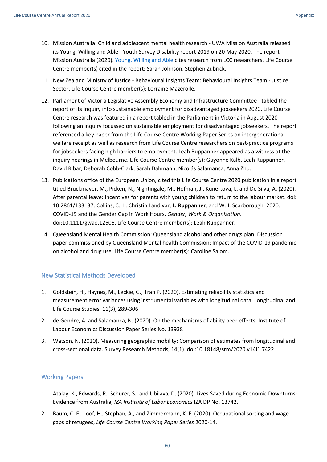- 10. Mission Australia: Child and adolescent mental health research UWA Mission Australia released its Young, Willing and Able - Youth Survey Disability report 2019 on 20 May 2020. The report Mission Australia (2020). [Young, Willing and Able](https://researchrepository.uwa.edu.au/en/publications/the-mental-health-of-children-and-adolescents-report-on-the-secon) cites research from LCC researchers. Life Course Centre member(s) cited in the report: Sarah Johnson, Stephen Zubrick.
- 11. New Zealand Ministry of Justice Behavioural Insights Team: Behavioural Insights Team Justice Sector. Life Course Centre member(s): Lorraine Mazerolle.
- 12. Parliament of Victoria Legislative Assembly Economy and Infrastructure Committee tabled the report of its Inquiry into sustainable employment for disadvantaged jobseekers 2020. Life Course Centre research was featured in a report tabled in the Parliament in Victoria in August 2020 following an inquiry focussed on sustainable employment for disadvantaged jobseekers. The report referenced a key paper from the Life Course Centre Working Paper Series on intergenerational welfare receipt as well as research from Life Course Centre researchers on best-practice programs for jobseekers facing high barriers to employment. Leah Ruppanner appeared as a witness at the inquiry hearings in Melbourne. Life Course Centre member(s): Guyonne Kalb, Leah Ruppanner, David Ribar, Deborah Cobb-Clark, Sarah Dahmann, Nicolás Salamanca, Anna Zhu.
- 13. Publications office of the European Union, cited this Life Course Centre 2020 publication in a report titled Bruckmayer, M., Picken, N., Nightingale, M., Hofman, J., Kunertova, L. and De Silva, A. (2020). After parental leave: Incentives for parents with young children to return to the labour market. doi: 10.2861/133137: Collins, C., L. Christin Landivar, **L. Ruppanner**, and W. J. Scarborough. 2020. COVID-19 and the Gender Gap in Work Hours. *Gender, Work & Organization*. doi:10.1111/gwao.12506. Life Course Centre member(s): Leah Ruppanner.
- 14. Queensland Mental Health Commission: Queensland alcohol and other drugs plan. Discussion paper commissioned by Queensland Mental health Commission: Impact of the COVID-19 pandemic on alcohol and drug use. Life Course Centre member(s): Caroline Salom.

## <span id="page-49-0"></span>New Statistical Methods Developed

- 1. Goldstein, H., Haynes, M., Leckie, G., Tran P. (2020). Estimating reliability statistics and measurement error variances using instrumental variables with longitudinal data. Longitudinal and Life Course Studies. 11(3), 289-306
- 2. de Gendre, A. and Salamanca, N. (2020). On the mechanisms of ability peer effects. Institute of Labour Economics Discussion Paper Series No. 13938
- 3. Watson, N. (2020). Measuring geographic mobility: Comparison of estimates from longitudinal and cross-sectional data. Survey Research Methods, 14(1). doi:10.18148/srm/2020.v14i1.7422

## <span id="page-49-1"></span>Working Papers

- 1. Atalay, K., Edwards, R., Schurer, S., and Ubilava, D. (2020). Lives Saved during Economic Downturns: Evidence from Australia, *IZA Institute of Labor Economics* IZA DP No. 13742.
- 2. Baum, C. F., Loof, H., Stephan, A., and Zimmermann, K. F. (2020). Occupational sorting and wage gaps of refugees, *Life Course Centre Working Paper Series* 2020-14.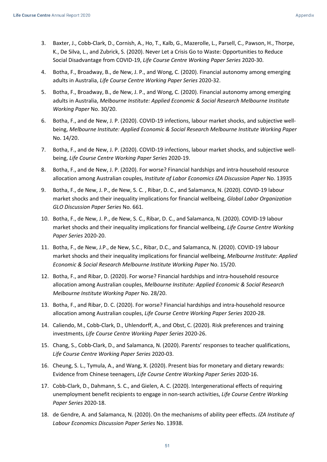- 3. Baxter, J., Cobb-Clark, D., Cornish, A., Ho, T., Kalb, G., Mazerolle, L., Parsell, C., Pawson, H., Thorpe, K., De Silva, L., and Zubrick, S. (2020). Never Let a Crisis Go to Waste: Opportunities to Reduce Social Disadvantage from COVID-19, *Life Course Centre Working Paper Series* 2020-30.
- 4. Botha, F., Broadway, B., de New, J. P., and Wong, C. (2020). Financial autonomy among emerging adults in Australia, *Life Course Centre Working Paper Series* 2020-32.
- 5. Botha, F., Broadway, B., de New, J. P., and Wong, C. (2020). Financial autonomy among emerging adults in Australia, *Melbourne Institute: Applied Economic & Social Research Melbourne Institute Working Paper* No. 30/20.
- 6. Botha, F., and de New, J. P. (2020). COVID-19 infections, labour market shocks, and subjective wellbeing, *Melbourne Institute: Applied Economic & Social Research Melbourne Institute Working Paper*  No. 14/20.
- 7. Botha, F., and de New, J. P. (2020). COVID-19 infections, labour market shocks, and subjective wellbeing, *Life Course Centre Working Paper Series* 2020-19.
- 8. Botha, F., and de New, J. P. (2020). For worse? Financial hardships and intra-household resource allocation among Australian couples, *Institute of Labor Economics IZA Discussion Paper* No. 13935
- 9. Botha, F., de New, J. P., de New, S. C. , Ribar, D. C., and Salamanca, N. (2020). COVID-19 labour market shocks and their inequality implications for financial wellbeing, *Global Labor Organization GLO Discussion Paper Series* No. 661.
- 10. Botha, F., de New, J. P., de New, S. C., Ribar, D. C., and Salamanca, N. (2020). COVID-19 labour market shocks and their inequality implications for financial wellbeing, *Life Course Centre Working Paper Series* 2020-20.
- 11. Botha, F., de New, J.P., de New, S.C., Ribar, D.C., and Salamanca, N. (2020). COVID-19 labour market shocks and their inequality implications for financial wellbeing, *Melbourne Institute: Applied Economic & Social Research Melbourne Institute Working Paper* No. 15/20.
- 12. Botha, F., and Ribar, D. (2020). For worse? Financial hardships and intra-household resource allocation among Australian couples, *Melbourne Institute: Applied Economic & Social Research Melbourne Institute Working Paper* No. 28/20.
- 13. Botha, F., and Ribar, D. C. (2020). For worse? Financial hardships and intra-household resource allocation among Australian couples, *Life Course Centre Working Paper Series* 2020-28.
- 14. Caliendo, M., Cobb-Clark, D., Uhlendorff, A., and Obst, C. (2020). Risk preferences and training investments, *Life Course Centre Working Paper Series* 2020-26.
- 15. Chang, S., Cobb-Clark, D., and Salamanca, N. (2020). Parents' responses to teacher qualifications, *Life Course Centre Working Paper Series* 2020-03.
- 16. Cheung, S. L., Tymula, A., and Wang, X. (2020). Present bias for monetary and dietary rewards: Evidence from Chinese teenagers, *Life Course Centre Working Paper Series* 2020-16.
- 17. Cobb-Clark, D., Dahmann, S. C., and Gielen, A. C. (2020). Intergenerational effects of requiring unemployment benefit recipients to engage in non-search activities, *Life Course Centre Working Paper Series* 2020-18.
- 18. de Gendre, A. and Salamanca, N. (2020). On the mechanisms of ability peer effects. *IZA Institute of Labour Economics Discussion Paper Series* No. 13938.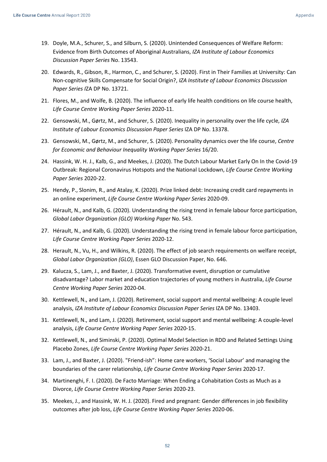- 19. Doyle, M.A., Schurer, S., and Silburn, S. (2020). Unintended Consequences of Welfare Reform: Evidence from Birth Outcomes of Aboriginal Australians, *IZA Institute of Labour Economics Discussion Paper Series* No. 13543.
- 20. Edwards, R., Gibson, R., Harmon, C., and Schurer, S. (2020). First in Their Families at University: Can Non-cognitive Skills Compensate for Social Origin?, *IZA Institute of Labour Economics Discussion Paper Series I*ZA DP No. 13721.
- 21. Flores, M., and Wolfe, B. (2020). The influence of early life health conditions on life course health, *Life Course Centre Working Paper Series* 2020-11.
- 22. Gensowski, M., Gørtz, M., and Schurer, S. (2020). Inequality in personality over the life cycle, *IZA Institute of Labour Economics Discussion Paper Series* IZA DP No. 13378.
- 23. Gensowski, M., Gørtz, M., and Schurer, S. (2020). Personality dynamics over the life course, *Centre for Economic and Behaviour Inequality Working Paper Series* 16/20.
- 24. Hassink, W. H. J., Kalb, G., and Meekes, J. (2020). The Dutch Labour Market Early On In the Covid-19 Outbreak: Regional Coronavirus Hotspots and the National Lockdown, *Life Course Centre Working Paper Series* 2020-22.
- 25. Hendy, P., Slonim, R., and Atalay, K. (2020). Prize linked debt: Increasing credit card repayments in an online experiment, *Life Course Centre Working Paper Series* 2020-09.
- 26. Hérault, N., and Kalb, G. (2020). Understanding the rising trend in female labour force participation, *Global Labor Organization (GLO) Working Paper* No. 543.
- 27. Hérault, N., and Kalb, G. (2020). Understanding the rising trend in female labour force participation, *Life Course Centre Working Paper Series* 2020-12.
- 28. Herault, N., Vu, H., and Wilkins, R. (2020). The effect of job search requirements on welfare receipt, *Global Labor Organization (GLO)*, Essen GLO Discussion Paper, No. 646.
- 29. Kalucza, S., Lam, J., and Baxter, J. (2020). Transformative event, disruption or cumulative disadvantage? Labor market and education trajectories of young mothers in Australia, *Life Course Centre Working Paper Series* 2020-04.
- 30. Kettlewell, N., and Lam, J. (2020). Retirement, social support and mental wellbeing: A couple level analysis, *IZA Institute of Labour Economics Discussion Paper Series* IZA DP No. 13403.
- 31. Kettlewell, N., and Lam, J. (2020). Retirement, social support and mental wellbeing: A couple-level analysis, *Life Course Centre Working Paper Series* 2020-15.
- 32. Kettlewell, N., and Siminski, P. (2020). Optimal Model Selection in RDD and Related Settings Using Placebo Zones, *Life Course Centre Working Paper Series* 2020-21.
- 33. Lam, J., and Baxter, J. (2020). "Friend-ish": Home care workers, 'Social Labour' and managing the boundaries of the carer relationship, *Life Course Centre Working Paper Series* 2020-17.
- 34. Martinenghi, F. I. (2020). De Facto Marriage: When Ending a Cohabitation Costs as Much as a Divorce, *Life Course Centre Working Paper Series* 2020-23.
- 35. Meekes, J., and Hassink, W. H. J. (2020). Fired and pregnant: Gender differences in job flexibility outcomes after job loss, *Life Course Centre Working Paper Series* 2020-06.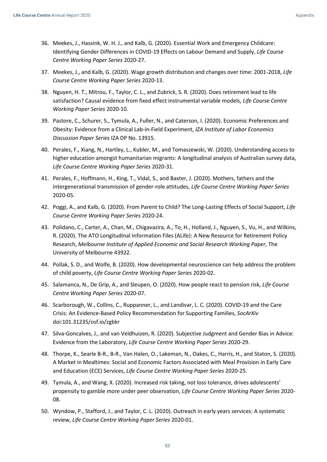- 36. Meekes, J., Hassink, W. H. J., and Kalb, G. (2020). Essential Work and Emergency Childcare: Identifying Gender Differences in COVID-19 Effects on Labour Demand and Supply, *Life Course Centre Working Paper Series* 2020-27.
- 37. Meekes, J., and Kalb, G. (2020). Wage growth distribution and changes over time: 2001-2018, *Life Course Centre Working Paper Series* 2020-13.
- 38. Nguyen, H. T., Mitrou, F., Taylor, C. L., and Zubrick, S. R. (2020). Does retirement lead to life satisfaction? Causal evidence from fixed effect instrumental variable models, *Life Course Centre Working Paper Series* 2020-10.
- 39. Pastore, C., Schurer, S., Tymula, A., Fuller, N., and Caterson, I. (2020). Economic Preferences and Obesity: Evidence from a Clinical Lab-in-Field Experiment, *IZA Institute of Labor Economics Discussion Paper Series* IZA DP No. 13915.
- 40. Perales, F., Xiang, N., Hartley, L., Kubler, M., and Tomaszewski, W. (2020). Understanding access to higher education amongst humanitarian migrants: A longitudinal analysis of Australian survey data, *Life Course Centre Working Paper Series* 2020-31.
- 41. Perales, F., Hoffmann, H., King, T., Vidal, S., and Baxter, J. (2020). Mothers, fathers and the intergenerational transmission of gender-role attitudes, *Life Course Centre Working Paper Series* 2020-05.
- 42. Poggi, A., and Kalb, G. (2020). From Parent to Child? The Long-Lasting Effects of Social Support, *Life Course Centre Working Paper Series* 2020-24.
- 43. Polidano, C., Carter, A., Chan, M., Chigavazira, A., To, H., Holland, J., Nguyen, S., Vu, H., and Wilkins, R. (2020). The ATO Longitudinal Information Files (ALife): A New Resource for Retirement Policy Research, *Melbourne Institute of Applied Economic and Social Research Working Paper*, The University of Melbourne 43922.
- 44. Pollak, S. D., and Wolfe, B. (2020). How developmental neuroscience can help address the problem of child poverty, *Life Course Centre Working Paper Series* 2020-02.
- 45. Salamanca, N., De Grip, A., and Sleupen, O. (2020). How people react to pension risk, *Life Course Centre Working Paper Series* 2020-07.
- 46. Scarborough, W., Collins, C., Ruppanner, L., and Landivar, L. C. (2020). COVID-19 and the Care Crisis: An Evidence-Based Policy Recommendation for Supporting Families, *SocArXiv* doi:101.31235/osf.io/zgbkr
- 47. Silva-Goncalves, J., and van Veldhuizen, R. (2020). Subjective Judgment and Gender Bias in Advice: Evidence from the Laboratory, *Life Course Centre Working Paper Series* 2020-29.
- 48. Thorpe, K., Searle B-R., B-R., Van Halen, O., Lakeman, N., Oakes, C., Harris, H., and Staton, S. (2020). A Market in Mealtimes: Social and Economic Factors Associated with Meal Provision in Early Care and Education (ECE) Services, *Life Course Centre Working Paper Series* 2020-25.
- 49. Tymula, A., and Wang, X. (2020). Increased risk taking, not loss tolerance, drives adolescents' propensity to gamble more under peer observation, *Life Course Centre Working Paper Series* 2020- 08.
- 50. Wyndow, P., Stafford, J., and Taylor, C. L. (2020). Outreach in early years services: A systematic review, *Life Course Centre Working Paper Series* 2020-01.